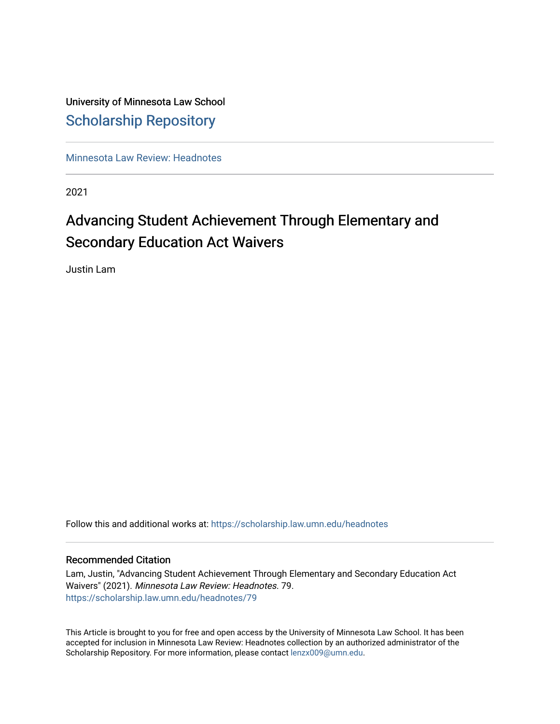# University of Minnesota Law School [Scholarship Repository](https://scholarship.law.umn.edu/)

[Minnesota Law Review: Headnotes](https://scholarship.law.umn.edu/headnotes) 

2021

# Advancing Student Achievement Through Elementary and Secondary Education Act Waivers

Justin Lam

Follow this and additional works at: [https://scholarship.law.umn.edu/headnotes](https://scholarship.law.umn.edu/headnotes?utm_source=scholarship.law.umn.edu%2Fheadnotes%2F79&utm_medium=PDF&utm_campaign=PDFCoverPages) 

## Recommended Citation

Lam, Justin, "Advancing Student Achievement Through Elementary and Secondary Education Act Waivers" (2021). Minnesota Law Review: Headnotes. 79. [https://scholarship.law.umn.edu/headnotes/79](https://scholarship.law.umn.edu/headnotes/79?utm_source=scholarship.law.umn.edu%2Fheadnotes%2F79&utm_medium=PDF&utm_campaign=PDFCoverPages)

This Article is brought to you for free and open access by the University of Minnesota Law School. It has been accepted for inclusion in Minnesota Law Review: Headnotes collection by an authorized administrator of the Scholarship Repository. For more information, please contact [lenzx009@umn.edu.](mailto:lenzx009@umn.edu)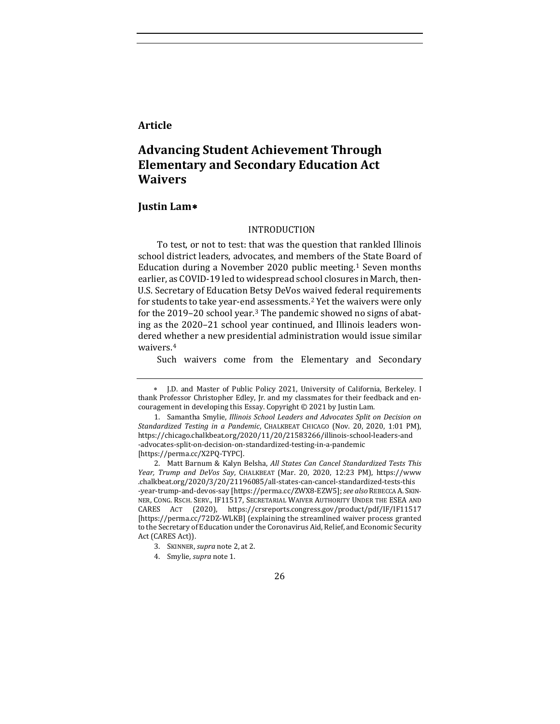## **Article**

## **Advancing Student Achievement Through Elementary and Secondary Education Act Waivers**

#### **Justin Lam**[∗](#page-1-2)

#### <span id="page-1-1"></span><span id="page-1-0"></span>INTRODUCTION

To test, or not to test: that was the question that rankled Illinois school district leaders, advocates, and members of the State Board of Education during a November 2020 public meeting.[1](#page-1-3) Seven months earlier, as COVID-19 led to widespread school closures in March, then-U.S. Secretary of Education Betsy DeVos waived federal requirements for students to take year-end assessments.[2](#page-1-4) Yet the waivers were only for the 2019–20 school year.[3](#page-1-5) The pandemic showed no signs of abating as the 2020–21 school year continued, and Illinois leaders wondered whether a new presidential administration would issue similar waivers.[4](#page-1-6)

Such waivers come from the Elementary and Secondary

<span id="page-1-2"></span><sup>∗</sup> J.D. and Master of Public Policy 2021, University of California, Berkeley. I thank Professor Christopher Edley, Jr. and my classmates for their feedback and encouragement in developing this Essay. Copyright © 2021 by Justin Lam.

<span id="page-1-3"></span> <sup>1.</sup> Samantha Smylie, *Illinois School Leaders and Advocates Split on Decision on Standardized Testing in a Pandemic*, CHALKBEAT CHICAGO (Nov. 20, 2020, 1:01 PM), https://chicago.chalkbeat.org/2020/11/20/21583266/illinois-school-leaders-and -advocates-split-on-decision-on-standardized-testing-in-a-pandemic [https://perma.cc/X2PQ-TYPC].

<span id="page-1-4"></span> <sup>2.</sup> Matt Barnum & Kalyn Belsha, *All States Can Cancel Standardized Tests This Year, Trump and DeVos Say*, CHALKBEAT (Mar. 20, 2020, 12:23 PM), https://www .chalkbeat.org/2020/3/20/21196085/all-states-can-cancel-standardized-tests-this -year-trump-and-devos-say [https://perma.cc/ZWX8-EZW5]; *see also* REBECCA A. SKIN-NER, CONG. RSCH. SERV., IF11517, SECRETARIAL WAIVER AUTHORITY UNDER THE ESEA AND CARES ACT (2020), https://crsreports.congress.gov/product/pdf/IF/IF11517 [https://perma.cc/72DZ-WLKB] (explaining the streamlined waiver process granted to the Secretary of Education under the Coronavirus Aid, Relief, and Economic Security Act (CARES Act)).

<span id="page-1-5"></span> <sup>3.</sup> SKINNER, *supra* not[e 2,](#page-1-0) at 2.

<span id="page-1-6"></span> <sup>4.</sup> Smylie, *supra* not[e 1.](#page-1-1) 

<sup>26</sup>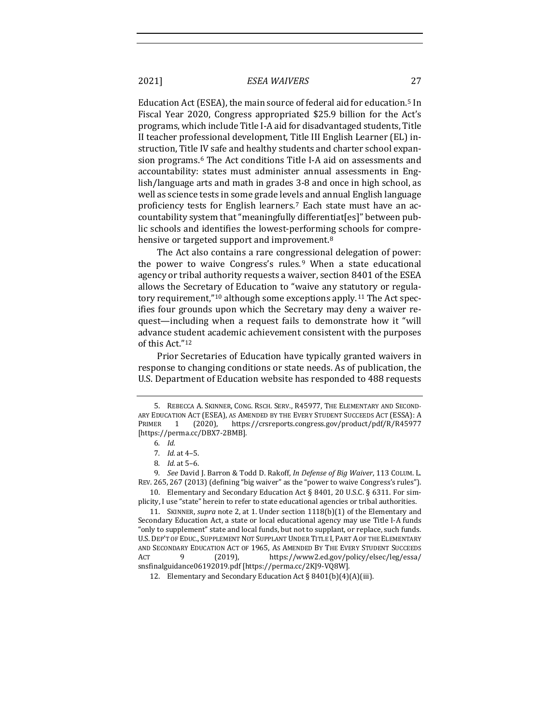Education Act (ESEA), the main source of federal aid for education.[5](#page-2-0) In Fiscal Year 2020, Congress appropriated \$25.9 billion for the Act's programs, which include Title I-A aid for disadvantaged students, Title II teacher professional development, Title III English Learner (EL) instruction, Title IV safe and healthy students and charter school expansion programs.[6](#page-2-1) The Act conditions Title I-A aid on assessments and accountability: states must administer annual assessments in English/language arts and math in grades 3-8 and once in high school, as well as science tests in some grade levels and annual English language proficiency tests for English learners.[7](#page-2-2) Each state must have an accountability system that "meaningfully differentiat[es]" between public schools and identifies the lowest-performing schools for comprehensive or targeted support and improvement.<sup>8</sup>

<span id="page-2-8"></span>The Act also contains a rare congressional delegation of power: the power to waive Congress's rules. $9$  When a state educational agency or tribal authority requests a waiver, section 8401 of the ESEA allows the Secretary of Education to "waive any statutory or regulatory requirement,"[1](#page-2-5)0 although some exceptions apply.[1](#page-2-6)1 The Act specifies four grounds upon which the Secretary may deny a waiver request—including when a request fails to demonstrate how it "will advance student academic achievement consistent with the purposes of this Act.["1](#page-2-7)2

Prior Secretaries of Education have typically granted waivers in response to changing conditions or state needs. As of publication, the U.S. Department of Education website has responded to 488 requests

<span id="page-2-5"></span>10. Elementary and Secondary Education Act § 8401, 20 U.S.C. § 6311. For simplicity, I use "state" herein to refer to state educational agencies or tribal authorities.

<span id="page-2-6"></span>11. SKINNER, *supra* not[e 2,](#page-1-0) at 1. Under section 1118(b)(1) of the Elementary and Secondary Education Act, a state or local educational agency may use Title I-A funds "only to supplement" state and local funds, but not to supplant, or replace, such funds. U.S. DEP'T OF EDUC., SUPPLEMENT NOT SUPPLANT UNDER TITLE I, PART A OF THE ELEMENTARY AND SECONDARY EDUCATION ACT OF 1965, AS AMENDED BY THE EVERY STUDENT SUCCEEDS<br>ACT 9 (2019), https://www2.ed.gov/policy/elsec/leg/essa/ https://www2.ed.gov/policy/elsec/leg/essa/ snsfinalguidance06192019.pdf [https://perma.cc/2KJ9-VQ8W].

<span id="page-2-7"></span>12. Elementary and Secondary Education Act § 8401(b)(4)(A)(iii).

<span id="page-2-0"></span> <sup>5.</sup> REBECCA A. SKINNER, CONG. RSCH. SERV., R45977, THE ELEMENTARY AND SECOND-ARY EDUCATION ACT (ESEA), AS AMENDED BY THE EVERY STUDENT SUCCEEDS ACT (ESSA): A<br>PRIMER 1 (2020), https://crsreports.congress.gov/product/pdf/R/R45977 1 (2020), https://crsreports.congress.gov/product/pdf/R/R45977 [https://perma.cc/DBX7-2BMB].

<sup>6</sup>*. Id.*

<sup>7</sup>*. Id.* at 4–5.

<sup>8</sup>*. Id.* at 5–6.

<span id="page-2-4"></span><span id="page-2-3"></span><span id="page-2-2"></span><span id="page-2-1"></span><sup>9</sup>*. See* David J. Barron & Todd D. Rakoff, *In Defense of Big Waiver*, 113 COLUM. L. REV. 265, 267 (2013) (defining "big waiver" as the "power to waive Congress's rules").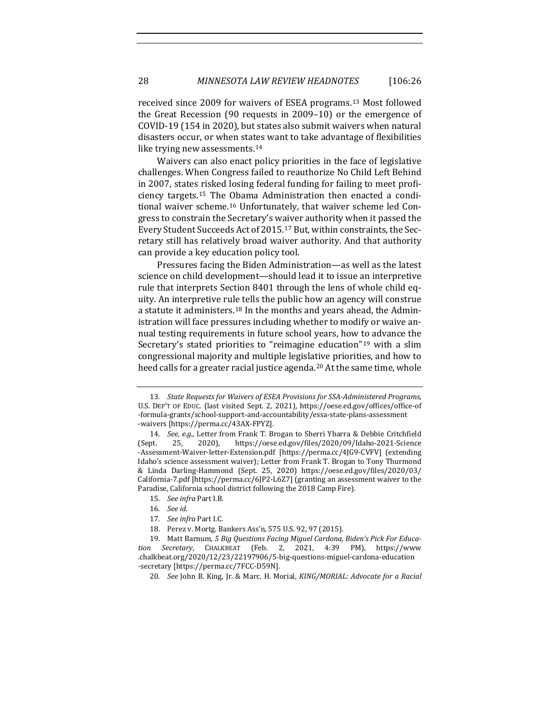received since 2009 for waivers of ESEA programs.[1](#page-3-0)3 Most followed the Great Recession (90 requests in 2009–10) or the emergence of COVID-19 (154 in 2020), but states also submit waivers when natural disasters occur, or when states want to take advantage of flexibilities like trying new assessments.<sup>[1](#page-3-1)4</sup>

Waivers can also enact policy priorities in the face of legislative challenges. When Congress failed to reauthorize No Child Left Behind in 2007, states risked losing federal funding for failing to meet proficiency targets.[15](#page-3-2) The Obama Administration then enacted a conditional waiver scheme.[16](#page-3-3) Unfortunately, that waiver scheme led Congress to constrain the Secretary's waiver authority when it passed the Every Student Succeeds Act of 2015.[1](#page-3-4)7 But, within constraints, the Secretary still has relatively broad waiver authority. And that authority can provide a key education policy tool.

Pressures facing the Biden Administration—as well as the latest science on child development—should lead it to issue an interpretive rule that interprets Section 8401 through the lens of whole child equity. An interpretive rule tells the public how an agency will construe a statute it administers.[1](#page-3-5)8 In the months and years ahead, the Administration will face pressures including whether to modify or waive annual testing requirements in future school years, how to advance the Secretary's stated priorities to "reimagine education"[19](#page-3-6) with a slim congressional majority and multiple legislative priorities, and how to heed calls for a greater racial justice agenda.<sup>[20](#page-3-7)</sup> At the same time, whole

15*. See infra* Part I.B.

- 17*. See infra* Part I.C.
- 18. Perez v. Mortg. Bankers Ass'n, 575 U.S. 92, 97 (2015).

<span id="page-3-9"></span><span id="page-3-8"></span><span id="page-3-0"></span><sup>13</sup>*. State Requests for Waivers of ESEA Provisions for SSA-Administered Programs*, U.S. DEP'T OF EDUC. (last visited Sept. 2, 2021), https://oese.ed.gov/offices/office-of -formula-grants/school-support-and-accountability/essa-state-plans-assessment -waivers [https://perma.cc/43AX-FPYZ].

<span id="page-3-1"></span><sup>14</sup>*. See, e.g.,* Letter from Frank T. Brogan to Sherri Ybarra & Debbie Critchfield https://oese.ed.gov/files/2020/09/Idaho-2021-Science -Assessment-Waiver-letter-Extension.pdf [https://perma.cc/4JG9-CVFV] (extending Idaho's science assessment waiver); Letter from Frank T. Brogan to Tony Thurmond & Linda Darling-Hammond (Sept. 25, 2020) https://oese.ed.gov/files/2020/03/ California-7.pdf [https://perma.cc/6JP2-L6Z7] (granting an assessment waiver to the Paradise, California school district following the 2018 Camp Fire).

<sup>16</sup>*. See id.*

<span id="page-3-7"></span><span id="page-3-6"></span><span id="page-3-5"></span><span id="page-3-4"></span><span id="page-3-3"></span><span id="page-3-2"></span><sup>19.</sup> Matt Barnum, *5 Big Questions Facing Miguel Cardona, Biden's Pick For Education Secretary*, CHALKBEAT (Feb. 2, 2021, 4:39 PM), https://www .chalkbeat.org/2020/12/23/22197906/5-big-questions-miguel-cardona-education -secretary [https://perma.cc/7FCC-D59N].

<sup>20</sup>*. See* John B. King, Jr. & Marc. H. Morial, *KING/MORIAL: Advocate for a Racial*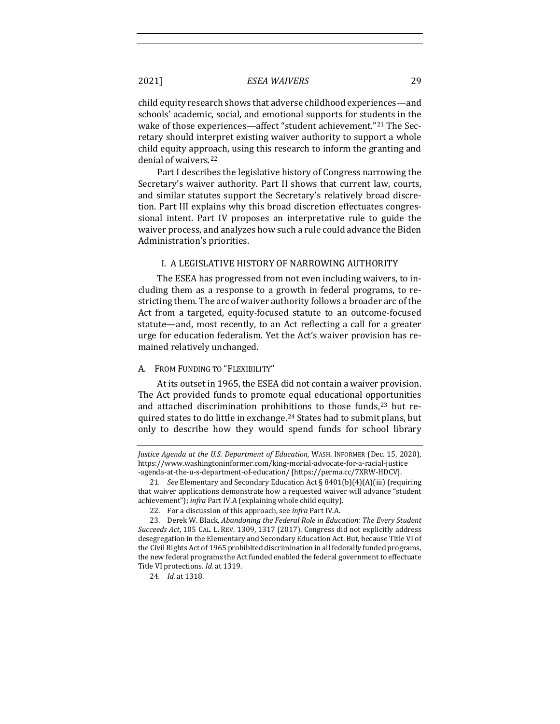child equity research shows that adverse childhood experiences—and schools' academic, social, and emotional supports for students in the wake of those experiences—affect "student achievement."[2](#page-4-0)1 The Secretary should interpret existing waiver authority to support a whole child equity approach, using this research to inform the granting and denial of waivers.[2](#page-4-1)2

Part I describes the legislative history of Congress narrowing the Secretary's waiver authority. Part II shows that current law, courts, and similar statutes support the Secretary's relatively broad discretion. Part III explains why this broad discretion effectuates congressional intent. Part IV proposes an interpretative rule to guide the waiver process, and analyzes how such a rule could advance the Biden Administration's priorities.

#### I. A LEGISLATIVE HISTORY OF NARROWING AUTHORITY

The ESEA has progressed from not even including waivers, to including them as a response to a growth in federal programs, to restricting them. The arc of waiver authority follows a broader arc of the Act from a targeted, equity-focused statute to an outcome-focused statute—and, most recently, to an Act reflecting a call for a greater urge for education federalism. Yet the Act's waiver provision has remained relatively unchanged.

## A. FROM FUNDING TO "FLEXIBILITY"

<span id="page-4-4"></span>At its outset in 1965, the ESEA did not contain a waiver provision. The Act provided funds to promote equal educational opportunities and attached discrimination prohibitions to those funds,<sup>[2](#page-4-2)3</sup> but required states to do little in exchange.[24](#page-4-3) States had to submit plans, but only to describe how they would spend funds for school library

*Justice Agenda at the U.S. Department of Education*, WASH. INFORMER (Dec. 15, 2020), https://www.washingtoninformer.com/king-morial-advocate-for-a-racial-justice -agenda-at-the-u-s-department-of-education/ [https://perma.cc/7XRW-HDCV].

<span id="page-4-0"></span><sup>21</sup>*. See* Elementary and Secondary Education Act § 8401(b)(4)(A)(iii) (requiring that waiver applications demonstrate how a requested waiver will advance "student achievement"); *infra* Part IV.A (explaining whole child equity).

<sup>22.</sup> For a discussion of this approach, see *infra* Part IV.A.

<span id="page-4-3"></span><span id="page-4-2"></span><span id="page-4-1"></span><sup>23.</sup> Derek W. Black, *Abandoning the Federal Role in Education: The Every Student Succeeds Act*, 105 CAL. L. REV. 1309, 1317 (2017). Congress did not explicitly address desegregation in the Elementary and Secondary Education Act. But, because Title VI of the Civil Rights Act of 1965 prohibited discrimination in all federally funded programs, the new federal programs the Act funded enabled the federal government to effectuate Title VI protections. *Id.* at 1319.

<sup>24</sup>*. Id.* at 1318.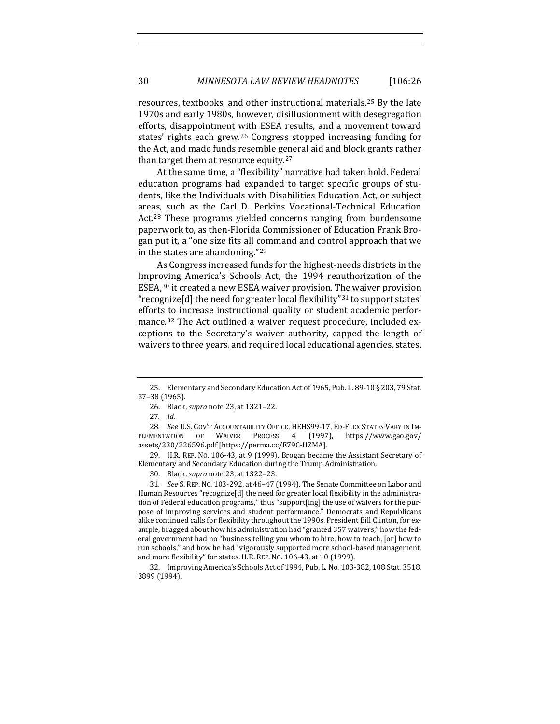resources, textbooks, and other instructional materials.[25](#page-5-0) By the late 1970s and early 1980s, however, disillusionment with desegregation efforts, disappointment with ESEA results, and a movement toward states' rights each grew.[2](#page-5-1)6 Congress stopped increasing funding for the Act, and made funds resemble general aid and block grants rather than target them at resource equity.[2](#page-5-2)7

At the same time, a "flexibility" narrative had taken hold. Federal education programs had expanded to target specific groups of students, like the Individuals with Disabilities Education Act, or subject areas, such as the Carl D. Perkins Vocational-Technical Education Act.[2](#page-5-3)8 These programs yielded concerns ranging from burdensome paperwork to, as then-Florida Commissioner of Education Frank Brogan put it, a "one size fits all command and control approach that we in the states are abandoning."[2](#page-5-4)9

As Congress increased funds for the highest-needs districts in the Improving America's Schools Act, the 1994 reauthorization of the ESEA,[3](#page-5-5)0 it created a new ESEA waiver provision. The waiver provision "recognize[d] the need for greater local flexibility"[31](#page-5-6) to support states' efforts to increase instructional quality or student academic performance.[3](#page-5-7)2 The Act outlined a waiver request procedure, included exceptions to the Secretary's waiver authority, capped the length of waivers to three years, and required local educational agencies, states,

<span id="page-5-4"></span>29. H.R. REP. NO. 106-43, at 9 (1999). Brogan became the Assistant Secretary of Elementary and Secondary Education during the Trump Administration.

30. Black, *supra* not[e 23,](#page-4-4) at 1322–23.

<span id="page-5-6"></span><span id="page-5-5"></span>31*. See* S. REP.NO. 103-292, at 46–47 (1994). The Senate Committee on Labor and Human Resources "recognize[d] the need for greater local flexibility in the administration of Federal education programs," thus "support[ing] the use of waivers for the purpose of improving services and student performance." Democrats and Republicans alike continued calls for flexibility throughout the 1990s. President Bill Clinton, for example, bragged about how his administration had "granted 357 waivers," how the federal government had no "business telling you whom to hire, how to teach, [or] how to run schools," and how he had "vigorously supported more school-based management, and more flexibility" for states. H.R. REP. NO. 106-43, at 10 (1999).

<span id="page-5-7"></span>32. Improving America's Schools Act of 1994, Pub. L. No. 103-382, 108 Stat. 3518, 3899 (1994).

<span id="page-5-1"></span><span id="page-5-0"></span><sup>25.</sup> Elementary and Secondary Education Act of 1965, Pub. L. 89-10 § 203, 79 Stat. 37–38 (1965).

<sup>26.</sup> Black, *supra* not[e 23,](#page-4-4) at 1321–22.

<sup>27</sup>*. Id.*

<span id="page-5-3"></span><span id="page-5-2"></span><sup>28.</sup> See U.S. GOV'T ACCOUNTABILITY OFFICE, HEHS99-17, ED-FLEX STATES VARY IN IM-<br>MENTATION OF WAIVER PROCESS 4 (1997), https://www.gao.gov/ PLEMENTATION OF WAIVER PROCESS 4 (1997), assets/230/226596.pdf [https://perma.cc/E79C-HZMA].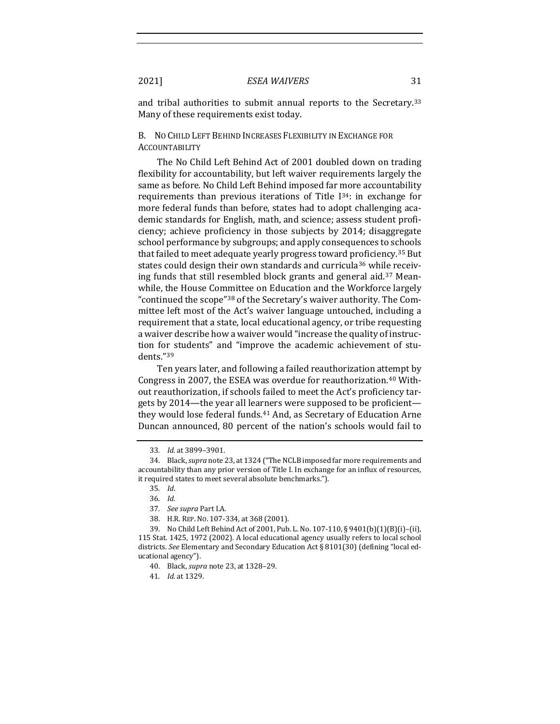and tribal authorities to submit annual reports to the Secretary.[3](#page-6-0)3 Many of these requirements exist today.

## B. NO CHILD LEFT BEHIND INCREASES FLEXIBILITY IN EXCHANGE FOR **ACCOUNTABILITY**

The No Child Left Behind Act of 2001 doubled down on trading flexibility for accountability, but left waiver requirements largely the same as before. No Child Left Behind imposed far more accountability requirements than previous iterations of Title I[34](#page-6-1): in exchange for more federal funds than before, states had to adopt challenging academic standards for English, math, and science; assess student proficiency; achieve proficiency in those subjects by 2014; disaggregate school performance by subgroups; and apply consequences to schools that failed to meet adequate yearly progress toward proficiency.[3](#page-6-2)5 But states could design their own standards and curricula<sup>[3](#page-6-3)6</sup> while receiving funds that still resembled block grants and general aid.[37](#page-6-4) Meanwhile, the House Committee on Education and the Workforce largely "continued the scope"[3](#page-6-5)8 of the Secretary's waiver authority. The Committee left most of the Act's waiver language untouched, including a requirement that a state, local educational agency, or tribe requesting a waiver describe how a waiver would "increase the quality of instruction for students" and "improve the academic achievement of students."[3](#page-6-6)9

Ten years later, and following a failed reauthorization attempt by Congress in 2007, the ESEA was overdue for reauthorization.[4](#page-6-7)0 Without reauthorization, if schools failed to meet the Act's proficiency targets by 2014—the year all learners were supposed to be proficient they would lose federal funds.[41](#page-6-8) And, as Secretary of Education Arne Duncan announced, 80 percent of the nation's schools would fail to

<sup>33</sup>*. Id.* at 3899–3901.

<span id="page-6-2"></span><span id="page-6-1"></span><span id="page-6-0"></span><sup>34.</sup> Black, *supra* not[e 23,](#page-4-4) at 1324 ("The NCLB imposed far more requirements and accountability than any prior version of Title I. In exchange for an influx of resources, it required states to meet several absolute benchmarks.").

<sup>35</sup>*. Id*.

<sup>36</sup>*. Id.*

<sup>37</sup>*. See supra* Part I.A.

<sup>38.</sup> H.R. REP. NO. 107-334, at 368 (2001).

<span id="page-6-8"></span><span id="page-6-7"></span><span id="page-6-6"></span><span id="page-6-5"></span><span id="page-6-4"></span><span id="page-6-3"></span><sup>39.</sup> No Child Left Behind Act of 2001, Pub. L. No. 107-110, § 9401(b)(1)(B)(i)–(ii), 115 Stat. 1425, 1972 (2002). A local educational agency usually refers to local school districts. *See* Elementary and Secondary Education Act § 8101(30) (defining "local educational agency").

<sup>40.</sup> Black, *supra* not[e 23,](#page-4-4) at 1328–29.

<sup>41</sup>*. Id.* at 1329.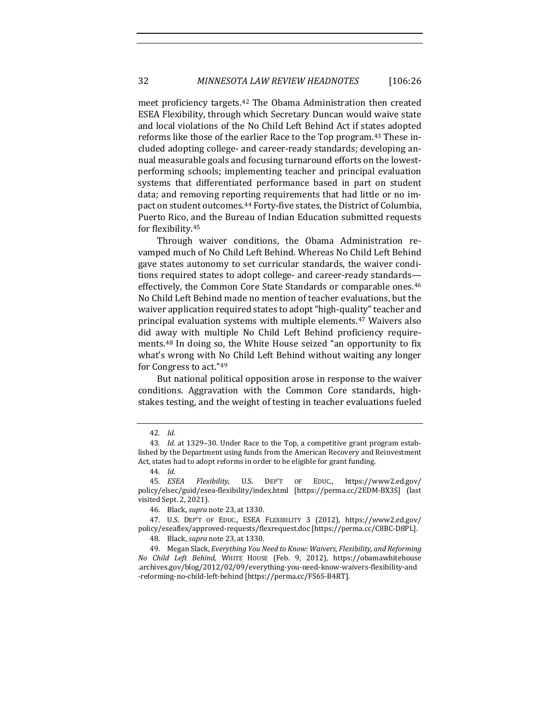meet proficiency targets.[42](#page-7-0) The Obama Administration then created ESEA Flexibility, through which Secretary Duncan would waive state and local violations of the No Child Left Behind Act if states adopted reforms like those of the earlier Race to the Top program.[4](#page-7-1)3 These included adopting college- and career-ready standards; developing annual measurable goals and focusing turnaround efforts on the lowestperforming schools; implementing teacher and principal evaluation systems that differentiated performance based in part on student data; and removing reporting requirements that had little or no impact on student outcomes.[44](#page-7-2) Forty-five states, the District of Columbia, Puerto Rico, and the Bureau of Indian Education submitted requests for flexibility.[4](#page-7-3)5

Through waiver conditions, the Obama Administration revamped much of No Child Left Behind. Whereas No Child Left Behind gave states autonomy to set curricular standards, the waiver conditions required states to adopt college- and career-ready standards effectively, the Common Core State Standards or comparable ones.[4](#page-7-4)6 No Child Left Behind made no mention of teacher evaluations, but the waiver application required states to adopt "high-quality" teacher and principal evaluation systems with multiple elements.[47](#page-7-5) Waivers also did away with multiple No Child Left Behind proficiency requirements.[4](#page-7-6)8 In doing so, the White House seized "an opportunity to fix what's wrong with No Child Left Behind without waiting any longer for Congress to act."[4](#page-7-7)9

But national political opposition arose in response to the waiver conditions. Aggravation with the Common Core standards, highstakes testing, and the weight of testing in teacher evaluations fueled

<sup>42</sup>*. Id.*

<span id="page-7-1"></span><span id="page-7-0"></span><sup>43</sup>*. Id.* at 1329–30. Under Race to the Top, a competitive grant program established by the Department using funds from the American Recovery and Reinvestment Act, states had to adopt reforms in order to be eligible for grant funding.

<span id="page-7-3"></span><span id="page-7-2"></span><sup>44</sup>*. Id.* 45*. ESEA Flexibility*, U.S. DEP'T OF EDUC., https://www2.ed.gov/ policy/elsec/guid/esea-flexibility/index.html [https://perma.cc/2EDM-BX3S] (last visited Sept. 2, 2021).

<sup>46.</sup> Black, *supra* not[e 23,](#page-4-4) at 1330.

<span id="page-7-5"></span><span id="page-7-4"></span><sup>47.</sup> U.S. DEP'T OF EDUC., ESEA FLEXIBILITY 3 (2012), https://www2.ed.gov/ policy/eseaflex/approved-requests/flexrequest.doc [https://perma.cc/C8BC-D8PL].

<sup>48.</sup> Black, *supra* not[e 23,](#page-4-4) at 1330.

<span id="page-7-7"></span><span id="page-7-6"></span><sup>49.</sup> Megan Slack, *Everything You Need to Know: Waivers, Flexibility, and Reforming No Child Left Behind*, WHITE HOUSE (Feb. 9, 2012), https://obamawhitehouse .archives.gov/blog/2012/02/09/everything-you-need-know-waivers-flexibility-and -reforming-no-child-left-behind [https://perma.cc/FS6S-B4RT].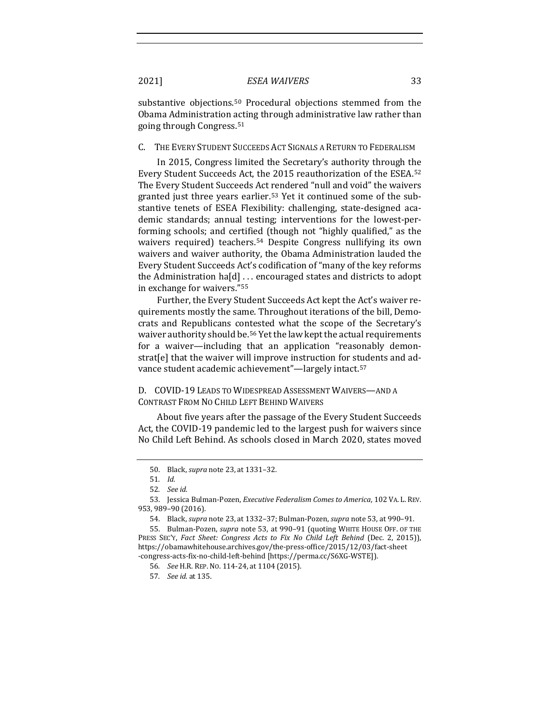substantive objections.<sup>[5](#page-8-1)0</sup> Procedural objections stemmed from the Obama Administration acting through administrative law rather than going through Congress.[51](#page-8-2)

#### C. THE EVERY STUDENT SUCCEEDS ACT SIGNALS A RETURN TO FEDERALISM

<span id="page-8-0"></span>In 2015, Congress limited the Secretary's authority through the Every Student Succeeds Act, the 2015 reauthorization of the ESEA.[5](#page-8-3)2 The Every Student Succeeds Act rendered "null and void" the waivers granted just three years earlier.[53](#page-8-4) Yet it continued some of the substantive tenets of ESEA Flexibility: challenging, state-designed academic standards; annual testing; interventions for the lowest-performing schools; and certified (though not "highly qualified," as the waivers required) teachers.<sup>[5](#page-8-5)4</sup> Despite Congress nullifying its own waivers and waiver authority, the Obama Administration lauded the Every Student Succeeds Act's codification of "many of the key reforms the Administration ha[d] . . . encouraged states and districts to adopt in exchange for waivers."[55](#page-8-6)

Further, the Every Student Succeeds Act kept the Act's waiver requirements mostly the same. Throughout iterations of the bill, Democrats and Republicans contested what the scope of the Secretary's waiver authority should be.[56](#page-8-7) Yet the law kept the actual requirements for a waiver—including that an application "reasonably demonstrat[e] that the waiver will improve instruction for students and advance student academic achievement"—largely intact.[5](#page-8-8)7

## D. COVID-19 LEADS TO WIDESPREAD ASSESSMENT WAIVERS—AND A CONTRAST FROM NO CHILD LEFT BEHIND WAIVERS

About five years after the passage of the Every Student Succeeds Act, the COVID-19 pandemic led to the largest push for waivers since No Child Left Behind. As schools closed in March 2020, states moved

<sup>50.</sup> Black, *supra* not[e 23,](#page-4-4) at 1331–32.

<sup>51</sup>*. Id.*

<sup>52</sup>*. See id.*

<span id="page-8-4"></span><span id="page-8-3"></span><span id="page-8-2"></span><span id="page-8-1"></span><sup>53.</sup> Jessica Bulman-Pozen, *Executive Federalism Comes to America*, 102 VA. L. REV. 953, 989–90 (2016).

<sup>54.</sup> Black, *supra* not[e 23,](#page-4-4) at 1332–37; Bulman-Pozen, *supra* not[e 53,](#page-8-0) at 990–91.

<span id="page-8-8"></span><span id="page-8-7"></span><span id="page-8-6"></span><span id="page-8-5"></span><sup>55.</sup> Bulman-Pozen, *supra* note [53,](#page-8-0) at 990–91 (quoting WHITE HOUSE OFF. OF THE PRESS SEC'Y, *Fact Sheet: Congress Acts to Fix No Child Left Behind* (Dec. 2, 2015)), https://obamawhitehouse.archives.gov/the-press-office/2015/12/03/fact-sheet -congress-acts-fix-no-child-left-behind [https://perma.cc/S6XG-WSTE]).

<sup>56</sup>*. See* H.R. REP. NO. 114-24, at 1104 (2015).

<sup>57</sup>*. See id.* at 135.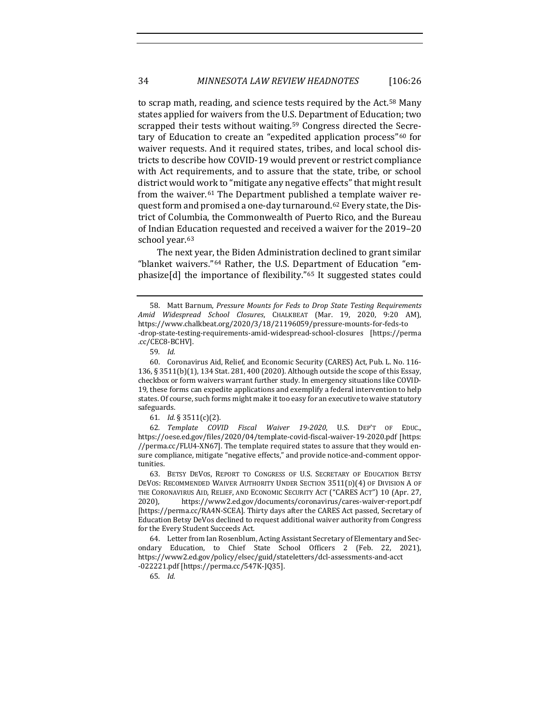to scrap math, reading, and science tests required by the Act.[58](#page-9-0) Many states applied for waivers from the U.S. Department of Education; two scrapped their tests without waiting.<sup>[59](#page-9-1)</sup> Congress directed the Secretary of Education to create an "expedited application process"[60](#page-9-2) for waiver requests. And it required states, tribes, and local school districts to describe how COVID-19 would prevent or restrict compliance with Act requirements, and to assure that the state, tribe, or school district would work to "mitigate any negative effects" that might result from the waiver.[61](#page-9-3) The Department published a template waiver request form and promised a one-day turnaround.[62](#page-9-4) Every state, the District of Columbia, the Commonwealth of Puerto Rico, and the Bureau of Indian Education requested and received a waiver for the 2019–20 school year.<sup>[63](#page-9-5)</sup>

The next year, the Biden Administration declined to grant similar "blanket waivers."[6](#page-9-6)4 Rather, the U.S. Department of Education "emphasize[d] the importance of flexibility."[6](#page-9-7)5 It suggested states could

<span id="page-9-4"></span><span id="page-9-3"></span>62*. Template COVID Fiscal Waiver 19-2020*, U.S. DEP'T OF EDUC., https://oese.ed.gov/files/2020/04/template-covid-fiscal-waiver-19-2020.pdf [https: //perma.cc/FLU4-XN67]. The template required states to assure that they would ensure compliance, mitigate "negative effects," and provide notice-and-comment opportunities.

<span id="page-9-5"></span>63. BETSY DEVOS, REPORT TO CONGRESS OF U.S. SECRETARY OF EDUCATION BETSY DEVOS: RECOMMENDED WAIVER AUTHORITY UNDER SECTION 3511(D)(4) OF DIVISION A OF THE CORONAVIRUS AID, RELIEF, AND ECONOMIC SECURITY ACT ("CARES ACT") 10 (Apr. 27, 2020), https://www2.ed.gov/documents/coronavirus/cares-waiver-report.pdf 2020), https://www2.ed.gov/documents/coronavirus/cares-waiver-report.pdf [https://perma.cc/RA4N-SCEA]. Thirty days after the CARES Act passed, Secretary of Education Betsy DeVos declined to request additional waiver authority from Congress for the Every Student Succeeds Act.

<span id="page-9-7"></span><span id="page-9-6"></span>64. Letter from Ian Rosenblum, Acting Assistant Secretary of Elementary and Secondary Education, to Chief State School Officers 2 (Feb. 22, 2021), https://www2.ed.gov/policy/elsec/guid/stateletters/dcl-assessments-and-acct -022221.pdf [https://perma.cc/547K-JQ35].

65*. Id.*

<span id="page-9-0"></span><sup>58.</sup> Matt Barnum, *Pressure Mounts for Feds to Drop State Testing Requirements Amid Widespread School Closures*, CHALKBEAT (Mar. 19, 2020, 9:20 AM), https://www.chalkbeat.org/2020/3/18/21196059/pressure-mounts-for-feds-to -drop-state-testing-requirements-amid-widespread-school-closures [https://perma .cc/CEC8-BCHV].

<sup>59</sup>*. Id.*

<span id="page-9-2"></span><span id="page-9-1"></span><sup>60.</sup> Coronavirus Aid, Relief, and Economic Security (CARES) Act, Pub. L. No. 116- 136, § 3511(b)(1), 134 Stat. 281, 400 (2020). Although outside the scope of this Essay, checkbox or form waivers warrant further study. In emergency situations like COVID-19, these forms can expedite applications and exemplify a federal intervention to help states. Of course, such forms might make it too easy for an executive to waive statutory safeguards.

<sup>61</sup>*. Id.* § 3511(c)(2).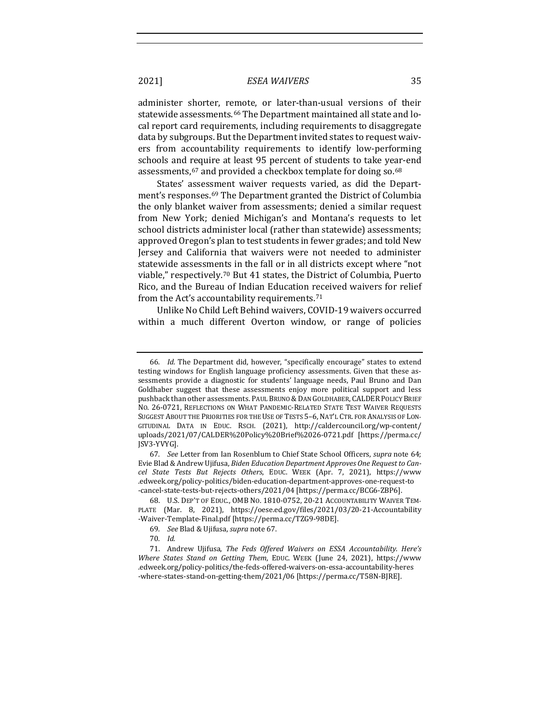administer shorter, remote, or later-than-usual versions of their statewide assessments.<sup>[66](#page-10-1)</sup> The Department maintained all state and local report card requirements, including requirements to disaggregate data by subgroups. But the Department invited states to request waivers from accountability requirements to identify low-performing schools and require at least 95 percent of students to take year-end assessments, <sup>[67](#page-10-2)</sup> and provided a checkbox template for doing so. <sup>[68](#page-10-3)</sup>

<span id="page-10-0"></span>States' assessment waiver requests varied, as did the Department's responses.[6](#page-10-4)9 The Department granted the District of Columbia the only blanket waiver from assessments; denied a similar request from New York; denied Michigan's and Montana's requests to let school districts administer local (rather than statewide) assessments; approved Oregon's plan to test students in fewer grades; and told New Jersey and California that waivers were not needed to administer statewide assessments in the fall or in all districts except where "not viable," respectively.[7](#page-10-5)0 But 41 states, the District of Columbia, Puerto Rico, and the Bureau of Indian Education received waivers for relief from the Act's accountability requirements.[7](#page-10-6)1

<span id="page-10-7"></span>Unlike No Child Left Behind waivers, COVID-19 waivers occurred within a much different Overton window, or range of policies

<span id="page-10-1"></span><sup>66</sup>*. Id.* The Department did, however, "specifically encourage" states to extend testing windows for English language proficiency assessments. Given that these assessments provide a diagnostic for students' language needs, Paul Bruno and Dan Goldhaber suggest that these assessments enjoy more political support and less pushback than other assessments. PAUL BRUNO & DAN GOLDHABER, CALDER POLICY BRIEF NO. 26-0721, REFLECTIONS ON WHAT PANDEMIC-RELATED STATE TEST WAIVER REQUESTS SUGGEST ABOUT THE PRIORITIES FOR THE USE OF TESTS 5-6, NAT'L CTR. FOR ANALYSIS OF LON-GITUDINAL DATA IN EDUC. RSCH. (2021), http://caldercouncil.org/wp-content/ uploads/2021/07/CALDER%20Policy%20Brief%2026-0721.pdf [https://perma.cc/ JSV3-YVYG].

<span id="page-10-2"></span><sup>67</sup>*. See* Letter from Ian Rosenblum to Chief State School Officers, *supra* note 64; Evie Blad & Andrew Ujifusa, *Biden Education Department Approves One Request to Cancel State Tests But Rejects Others*, EDUC. WEEK (Apr. 7, 2021), https://www .edweek.org/policy-politics/biden-education-department-approves-one-request-to -cancel-state-tests-but-rejects-others/2021/04 [https://perma.cc/BCG6-ZBP6].

<span id="page-10-3"></span><sup>68.</sup> U.S. DEP'T OF EDUC., OMB NO. 1810-0752, 20-21 ACCOUNTABILITY WAIVER TEM-PLATE (Mar. 8, 2021), https://oese.ed.gov/files/2021/03/20-21-Accountability -Waiver-Template-Final.pdf [https://perma.cc/TZG9-98DE].

<sup>69</sup>*. See* Blad & Ujifusa, *supra* not[e 67.](#page-10-0) 

<sup>70</sup>*. Id.*

<span id="page-10-6"></span><span id="page-10-5"></span><span id="page-10-4"></span><sup>71.</sup> Andrew Ujifusa, *The Feds Offered Waivers on ESSA Accountability. Here's Where States Stand on Getting Them*, EDUC. WEEK (June 24, 2021), https://www .edweek.org/policy-politics/the-feds-offered-waivers-on-essa-accountability-heres -where-states-stand-on-getting-them/2021/06 [https://perma.cc/T58N-BJRE].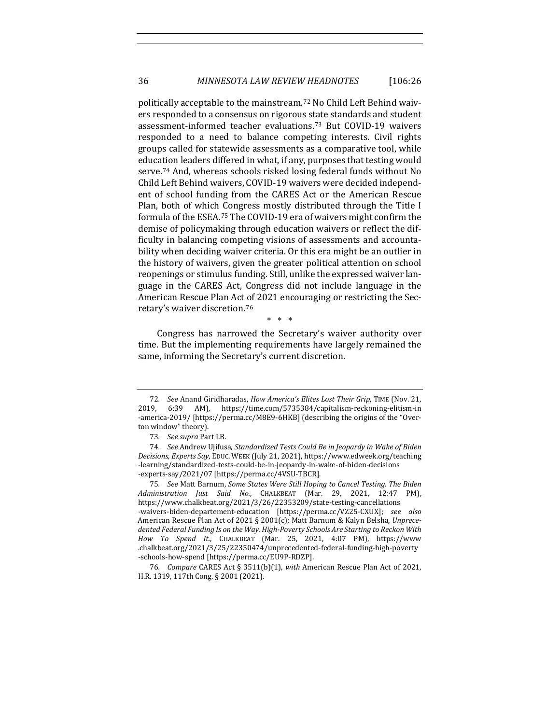<span id="page-11-5"></span>politically acceptable to the mainstream.[72](#page-11-0) No Child Left Behind waivers responded to a consensus on rigorous state standards and student assessment-informed teacher evaluations.[7](#page-11-1)3 But COVID-19 waivers responded to a need to balance competing interests. Civil rights groups called for statewide assessments as a comparative tool, while education leaders differed in what, if any, purposes that testing would serve.[74](#page-11-2) And, whereas schools risked losing federal funds without No Child Left Behind waivers, COVID-19 waivers were decided independent of school funding from the CARES Act or the American Rescue Plan, both of which Congress mostly distributed through the Title I formula of the ESEA.[75](#page-11-3) The COVID-19 era of waivers might confirm the demise of policymaking through education waivers or reflect the difficulty in balancing competing visions of assessments and accountability when deciding waiver criteria. Or this era might be an outlier in the history of waivers, given the greater political attention on school reopenings or stimulus funding. Still, unlike the expressed waiver language in the CARES Act, Congress did not include language in the American Rescue Plan Act of 2021 encouraging or restricting the Secretary's waiver discretion.[76](#page-11-4)

\* \* \*

Congress has narrowed the Secretary's waiver authority over time. But the implementing requirements have largely remained the same, informing the Secretary's current discretion.

<span id="page-11-0"></span><sup>72</sup>*. See* Anand Giridharadas, *How America's Elites Lost Their Grip*, TIME (Nov. 21, 2019, 6:39 AM), https://time.com/5735384/capitalism-reckoning-elitism-in -america-2019/ [https://perma.cc/M8E9-6HKB] (describing the origins of the "Overton window" theory).

<sup>73</sup>*. See supra* Part I.B.

<span id="page-11-2"></span><span id="page-11-1"></span><sup>74</sup>*. See* Andrew Ujifusa, *Standardized Tests Could Be in Jeopardy in Wake of Biden Decisions, Experts Say*, EDUC. WEEK (July 21, 2021), https://www.edweek.org/teaching -learning/standardized-tests-could-be-in-jeopardy-in-wake-of-biden-decisions -experts-say/2021/07 [https://perma.cc/4VSU-TBCR].

<span id="page-11-3"></span><sup>75</sup>*. See* Matt Barnum, *Some States Were Still Hoping to Cancel Testing. The Biden Administration Just Said No.*, CHALKBEAT (Mar. 29, 2021, 12:47 PM), https://www.chalkbeat.org/2021/3/26/22353209/state-testing-cancellations -waivers-biden-departement-education [https://perma.cc/VZ25-CXUX]; *see also*  American Rescue Plan Act of 2021 § 2001(c); Matt Barnum & Kalyn Belsha, *Unprecedented Federal Funding Is on the Way. High-Poverty Schools Are Starting to Reckon With How To Spend It.*, CHALKBEAT (Mar. 25, 2021, 4:07 PM), https://www .chalkbeat.org/2021/3/25/22350474/unprecedented-federal-funding-high-poverty -schools-how-spend [https://perma.cc/EU9P-RDZP].

<span id="page-11-4"></span><sup>76</sup>*. Compare* CARES Act § 3511(b)(1), *with* American Rescue Plan Act of 2021, H.R. 1319, 117th Cong. § 2001 (2021).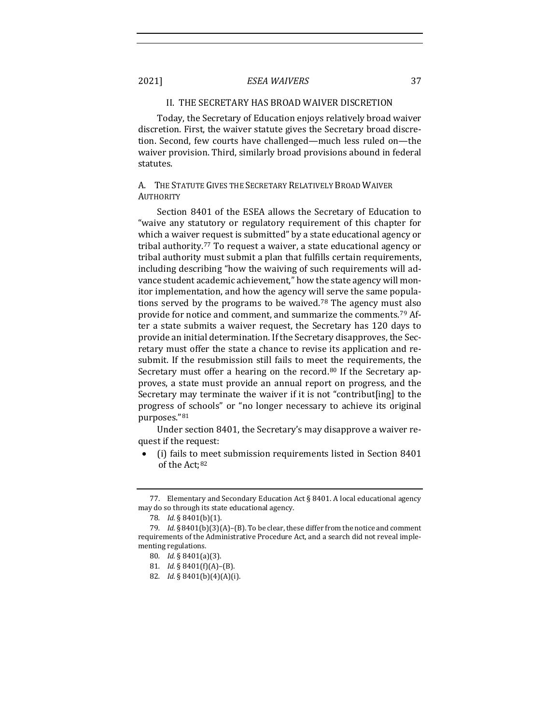#### II. THE SECRETARY HAS BROAD WAIVER DISCRETION

Today, the Secretary of Education enjoys relatively broad waiver discretion. First, the waiver statute gives the Secretary broad discretion. Second, few courts have challenged—much less ruled on—the waiver provision. Third, similarly broad provisions abound in federal statutes.

## A. THE STATUTE GIVES THE SECRETARY RELATIVELY BROAD WAIVER **AUTHORITY**

Section 8401 of the ESEA allows the Secretary of Education to "waive any statutory or regulatory requirement of this chapter for which a waiver request is submitted" by a state educational agency or tribal authority.[77](#page-12-0) To request a waiver, a state educational agency or tribal authority must submit a plan that fulfills certain requirements, including describing "how the waiving of such requirements will advance student academic achievement," how the state agency will monitor implementation, and how the agency will serve the same popula-tions served by the programs to be waived.<sup>[78](#page-12-1)</sup> The agency must also provide for notice and comment, and summarize the comments.[79](#page-12-2) After a state submits a waiver request, the Secretary has 120 days to provide an initial determination. If the Secretary disapproves, the Secretary must offer the state a chance to revise its application and resubmit. If the resubmission still fails to meet the requirements, the Secretary must offer a hearing on the record.<sup>[80](#page-12-3)</sup> If the Secretary approves, a state must provide an annual report on progress, and the Secretary may terminate the waiver if it is not "contribut[ing] to the progress of schools" or "no longer necessary to achieve its original purposes."[8](#page-12-4)1

Under section 8401, the Secretary's may disapprove a waiver request if the request:

• (i) fails to meet submission requirements listed in Section 8401 of the Act;[8](#page-12-5)2

<span id="page-12-0"></span><sup>77.</sup> Elementary and Secondary Education Act § 8401. A local educational agency may do so through its state educational agency.

<sup>78</sup>*. Id.* § 8401(b)(1).

<span id="page-12-5"></span><span id="page-12-4"></span><span id="page-12-3"></span><span id="page-12-2"></span><span id="page-12-1"></span><sup>79</sup>*. Id.* § 8401(b)(3)(A)–(B). To be clear, these differ from the notice and comment requirements of the Administrative Procedure Act, and a search did not reveal implementing regulations.

<sup>80</sup>*. Id.* § 8401(a)(3).

<sup>81</sup>*. Id.* § 8401(f)(A)–(B).

<sup>82</sup>*. Id.* § 8401(b)(4)(A)(i).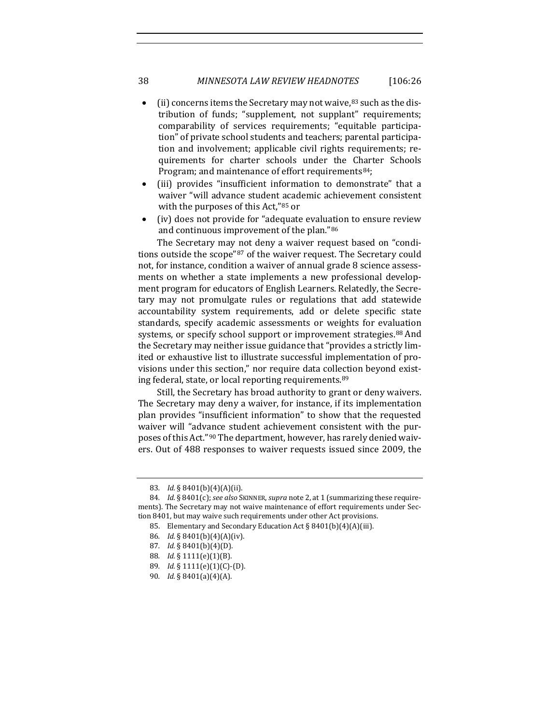## 38 *MINNESOTA LAW REVIEW HEADNOTES* [106:26

- (ii) concerns items the Secretary may not waive, $83$  $83$  such as the distribution of funds; "supplement, not supplant" requirements; comparability of services requirements; "equitable participation" of private school students and teachers; parental participation and involvement; applicable civil rights requirements; requirements for charter schools under the Charter Schools Program; and maintenance of effort requirements<sup>[84](#page-13-1)</sup>;
- (iii) provides "insufficient information to demonstrate" that a waiver "will advance student academic achievement consistent with the purposes of this Act,"[8](#page-13-2)5 or
- (iv) does not provide for "adequate evaluation to ensure review and continuous improvement of the plan."[8](#page-13-3)6

The Secretary may not deny a waiver request based on "conditions outside the scope"[8](#page-13-4)7 of the waiver request. The Secretary could not, for instance, condition a waiver of annual grade 8 science assessments on whether a state implements a new professional development program for educators of English Learners. Relatedly, the Secretary may not promulgate rules or regulations that add statewide accountability system requirements, add or delete specific state standards, specify academic assessments or weights for evaluation systems, or specify school support or improvement strategies.<sup>[8](#page-13-5)8</sup> And the Secretary may neither issue guidance that "provides a strictly limited or exhaustive list to illustrate successful implementation of provisions under this section," nor require data collection beyond existing federal, state, or local reporting requirements.[89](#page-13-6)

Still, the Secretary has broad authority to grant or deny waivers. The Secretary may deny a waiver, for instance, if its implementation plan provides "insufficient information" to show that the requested waiver will "advance student achievement consistent with the purposes of this Act."[90](#page-13-7) The department, however, has rarely denied waivers. Out of 488 responses to waiver requests issued since 2009, the

- 87*. Id.* § 8401(b)(4)(D).
- <span id="page-13-5"></span>88*. Id.* § 1111(e)(1)(B).
- <span id="page-13-6"></span>89*. Id.* § 1111(e)(1)(C)-(D).
- <span id="page-13-7"></span>90*. Id.* § 8401(a)(4)(A).

<sup>83</sup>*. Id.* § 8401(b)(4)(A)(ii).

<span id="page-13-4"></span><span id="page-13-3"></span><span id="page-13-2"></span><span id="page-13-1"></span><span id="page-13-0"></span><sup>84</sup>*. Id.* § 8401(c); *see also* SKINNER, *supra* not[e 2,](#page-1-0) at 1 (summarizing these requirements). The Secretary may not waive maintenance of effort requirements under Section 8401, but may waive such requirements under other Act provisions.

<sup>85.</sup> Elementary and Secondary Education Act § 8401(b)(4)(A)(iii).<br>86.  $Id.$  § 8401(b)(4)(A)(iv).

*Id.* § 8401(b)(4)(A)(iv).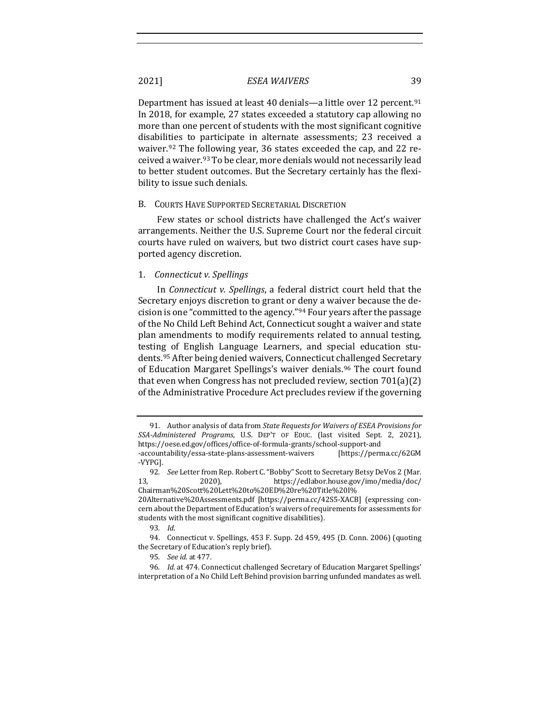<span id="page-14-6"></span>Department has issued at least 40 denials—a little over 12 percent.<sup>[9](#page-14-0)1</sup> In 2018, for example, 27 states exceeded a statutory cap allowing no more than one percent of students with the most significant cognitive disabilities to participate in alternate assessments; 23 received a waiver.<sup>[92](#page-14-1)</sup> The following year, 36 states exceeded the cap, and 22 received a waiver.[9](#page-14-2)3 To be clear, more denials would not necessarily lead to better student outcomes. But the Secretary certainly has the flexibility to issue such denials.

#### B. COURTS HAVE SUPPORTED SECRETARIAL DISCRETION

Few states or school districts have challenged the Act's waiver arrangements. Neither the U.S. Supreme Court nor the federal circuit courts have ruled on waivers, but two district court cases have supported agency discretion.

#### 1. *Connecticut v. Spellings*

In *Connecticut v. Spellings*, a federal district court held that the Secretary enjoys discretion to grant or deny a waiver because the decision is one "committed to the agency."[94](#page-14-3) Four years after the passage of the No Child Left Behind Act, Connecticut sought a waiver and state plan amendments to modify requirements related to annual testing, testing of English Language Learners, and special education students.[9](#page-14-4)5 After being denied waivers, Connecticut challenged Secretary of Education Margaret Spellings's waiver denials.<sup>[96](#page-14-5)</sup> The court found that even when Congress has not precluded review, section 701(a)(2) of the Administrative Procedure Act precludes review if the governing

<span id="page-14-0"></span><sup>91.</sup> Author analysis of data from *State Requests for Waivers of ESEA Provisions for SSA-Administered Programs*, U.S. DEP'T OF EDUC. (last visited Sept. 2, 2021), https://oese.ed.gov/offices/office-of-formula-grants/school-support-and

<sup>-</sup>accountability/essa-state-plans-assessment-waivers -VYPG].

<span id="page-14-1"></span><sup>92</sup>*. See* Letter from Rep. Robert C. "Bobby" Scott to Secretary Betsy DeVos 2 (Mar. 13, 2020), https://edlabor.house.gov/imo/media/doc/ Chairman%20Scott%20Lett%20to%20ED%20re%20Title%20I%

<sup>20</sup>Alternative%20Assessments.pdf [https://perma.cc/42S5-XACB] (expressing concern about the Department of Education's waivers of requirements for assessments for students with the most significant cognitive disabilities).

<sup>93</sup>*. Id.*

<span id="page-14-3"></span><span id="page-14-2"></span><sup>94.</sup> Connecticut v. Spellings, 453 F. Supp. 2d 459, 495 (D. Conn. 2006) (quoting the Secretary of Education's reply brief).

<sup>95</sup>*. See id.* at 477.

<span id="page-14-5"></span><span id="page-14-4"></span><sup>96</sup>*. Id.* at 474. Connecticut challenged Secretary of Education Margaret Spellings' interpretation of a No Child Left Behind provision barring unfunded mandates as well.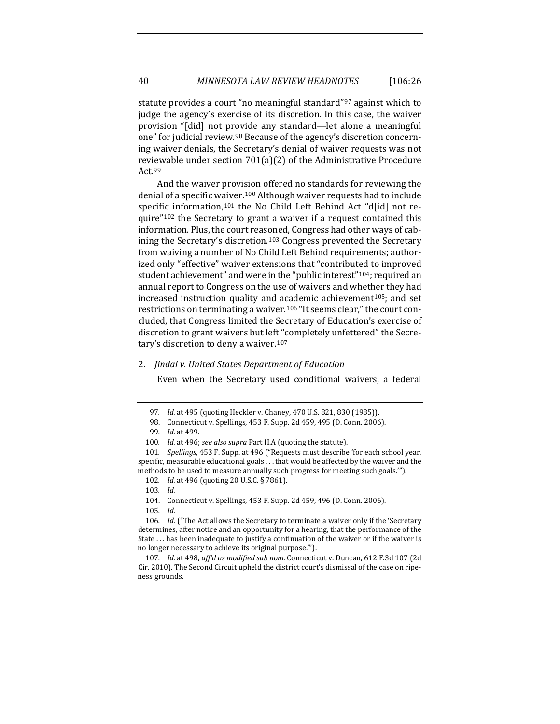statute provides a court "no meaningful standard"<sup>[97](#page-15-0)</sup> against which to judge the agency's exercise of its discretion. In this case, the waiver provision "[did] not provide any standard—let alone a meaningful one" for judicial review.[9](#page-15-1)8 Because of the agency's discretion concerning waiver denials, the Secretary's denial of waiver requests was not reviewable under section 701(a)(2) of the Administrative Procedure Act.[9](#page-15-2)9

And the waiver provision offered no standards for reviewing the denial of a specific waiver.[10](#page-15-3)0 Although waiver requests had to include specific information,<sup>[10](#page-15-4)1</sup> the No Child Left Behind Act "d[id] not require"[1](#page-15-5)02 the Secretary to grant a waiver if a request contained this information. Plus, the court reasoned, Congress had other ways of cab-ining the Secretary's discretion.<sup>[10](#page-15-6)3</sup> Congress prevented the Secretary from waiving a number of No Child Left Behind requirements; authorized only "effective" waiver extensions that "contributed to improved student achievement" and were in the "public interest"<sup>[10](#page-15-7)4</sup>; required an annual report to Congress on the use of waivers and whether they had increased instruction quality and academic achievement $105$  $105$ ; and set restrictions on terminating a waiver.[1](#page-15-9)06 "It seems clear," the court concluded, that Congress limited the Secretary of Education's exercise of discretion to grant waivers but left "completely unfettered" the Secretary's discretion to deny a waiver.[10](#page-15-10)7

#### 2. *Jindal v. United States Department of Education*

Even when the Secretary used conditional waivers, a federal

- 102*. Id.* at 496 (quoting 20 U.S.C. § 7861).
- 103*. Id.*

104. Connecticut v. Spellings, 453 F. Supp. 2d 459, 496 (D. Conn. 2006).

105*. Id.*

<sup>97</sup>*. Id.* at 495 (quoting Heckler v. Chaney, 470 U.S. 821, 830 (1985)).

<sup>98.</sup> Connecticut v. Spellings, 453 F. Supp. 2d 459, 495 (D. Conn. 2006).

<sup>99</sup>*. Id.* at 499.

<sup>100</sup>*. Id.* at 496; *see also supra* Part II.A (quoting the statute).

<span id="page-15-5"></span><span id="page-15-4"></span><span id="page-15-3"></span><span id="page-15-2"></span><span id="page-15-1"></span><span id="page-15-0"></span><sup>101</sup>*. Spellings*, 453 F. Supp. at 496 ("Requests must describe 'for each school year, specific, measurable educational goals . . . that would be affected by the waiver and the methods to be used to measure annually such progress for meeting such goals.'").

<span id="page-15-9"></span><span id="page-15-8"></span><span id="page-15-7"></span><span id="page-15-6"></span><sup>106.</sup> *Id.* ("The Act allows the Secretary to terminate a waiver only if the 'Secretary determines, after notice and an opportunity for a hearing, that the performance of the State . . . has been inadequate to justify a continuation of the waiver or if the waiver is no longer necessary to achieve its original purpose.'").

<span id="page-15-10"></span><sup>107</sup>*. Id.* at 498, *aff'd as modified sub nom.* Connecticut v. Duncan, 612 F.3d 107 (2d Cir. 2010). The Second Circuit upheld the district court's dismissal of the case on ripeness grounds.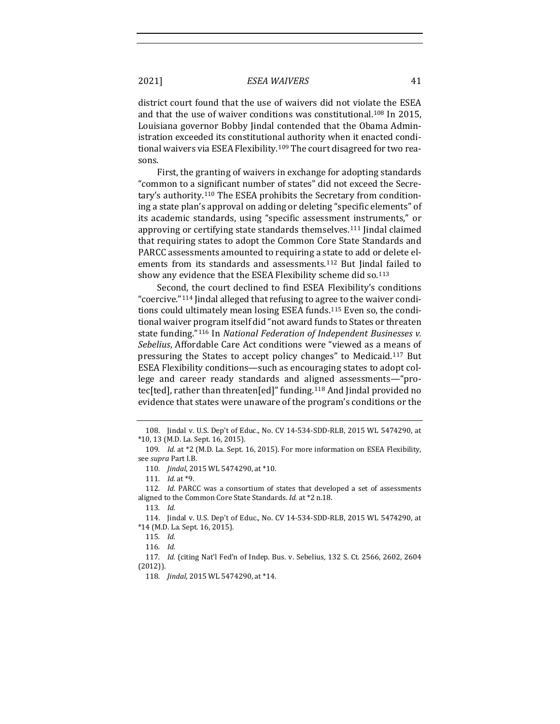district court found that the use of waivers did not violate the ESEA and that the use of waiver conditions was constitutional.[10](#page-16-0)8 In 2015, Louisiana governor Bobby Jindal contended that the Obama Administration exceeded its constitutional authority when it enacted condi-tional waivers via ESEA Flexibility.<sup>[10](#page-16-1)9</sup> The court disagreed for two reasons.

First, the granting of waivers in exchange for adopting standards "common to a significant number of states" did not exceed the Secretary's authority.[1](#page-16-2)10 The ESEA prohibits the Secretary from conditioning a state plan's approval on adding or deleting "specific elements" of its academic standards, using "specific assessment instruments," or approving or certifying state standards themselves.[11](#page-16-3)1 Jindal claimed that requiring states to adopt the Common Core State Standards and PARCC assessments amounted to requiring a state to add or delete elements from its standards and assessments.[1](#page-16-4)12 But Jindal failed to show any evidence that the ESEA Flexibility scheme did so.<sup>[1](#page-16-5)13</sup>

Second, the court declined to find ESEA Flexibility's conditions "coercive."[1](#page-16-6)14 Jindal alleged that refusing to agree to the waiver conditions could ultimately mean losing ESEA funds.[1](#page-16-7)15 Even so, the conditional waiver program itself did "not award funds to States or threaten state funding."[11](#page-16-8)6 In *National Federation of Independent Businesses v. Sebelius*, Affordable Care Act conditions were "viewed as a means of pressuring the States to accept policy changes" to Medicaid.[11](#page-16-9)7 But ESEA Flexibility conditions—such as encouraging states to adopt college and career ready standards and aligned assessments—"protec[ted], rather than threaten[ed]" funding.[11](#page-16-10)8 And Jindal provided no evidence that states were unaware of the program's conditions or the

<span id="page-16-0"></span><sup>108.</sup> Jindal v. U.S. Dep't of Educ., No. CV 14-534-SDD-RLB, 2015 WL 5474290, at \*10, 13 (M.D. La. Sept. 16, 2015).

<span id="page-16-2"></span><span id="page-16-1"></span><sup>109</sup>*. Id.* at \*2 (M.D. La. Sept. 16, 2015). For more information on ESEA Flexibility, see *supra* Part I.B.

<sup>110</sup>*. Jindal*, 2015 WL 5474290, at \*10.

<sup>111</sup>*. Id.* at \*9.

<span id="page-16-4"></span><span id="page-16-3"></span><sup>112</sup>*. Id.* PARCC was a consortium of states that developed a set of assessments aligned to the Common Core State Standards. *Id.* at \*2 n.18.

<sup>113</sup>*. Id.*

<span id="page-16-6"></span><span id="page-16-5"></span><sup>114.</sup> Jindal v. U.S. Dep't of Educ., No. CV 14-534-SDD-RLB, 2015 WL 5474290, at \*14 (M.D. La. Sept. 16, 2015).

<sup>115</sup>*. Id.*

<sup>116</sup>*. Id.*

<span id="page-16-10"></span><span id="page-16-9"></span><span id="page-16-8"></span><span id="page-16-7"></span><sup>117</sup>*. Id.* (citing Nat'l Fed'n of Indep. Bus. v. Sebelius, 132 S. Ct. 2566, 2602, 2604 (2012)).

<sup>118</sup>*. Jindal*, 2015 WL 5474290, at \*14.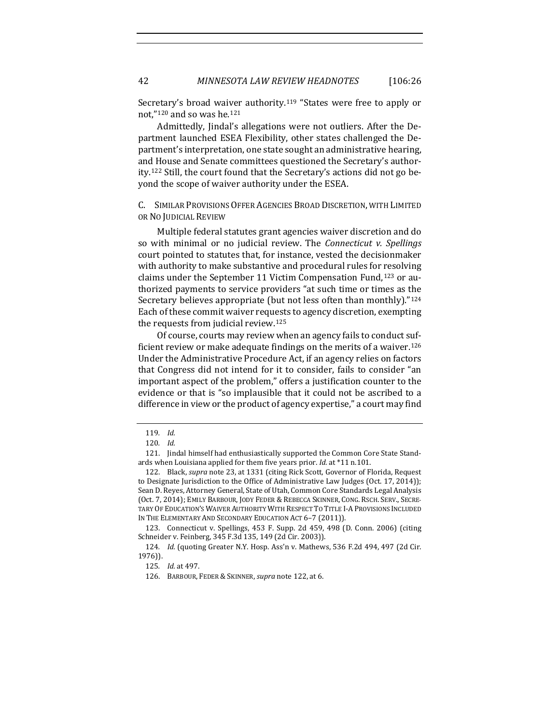Secretary's broad waiver authority.[1](#page-17-1)19 "States were free to apply or not,"[12](#page-17-2)0 and so was he.[12](#page-17-3)1

Admittedly, Jindal's allegations were not outliers. After the Department launched ESEA Flexibility, other states challenged the Department's interpretation, one state sought an administrative hearing, and House and Senate committees questioned the Secretary's authority.[1](#page-17-4)22 Still, the court found that the Secretary's actions did not go beyond the scope of waiver authority under the ESEA.

<span id="page-17-0"></span>C. SIMILAR PROVISIONS OFFER AGENCIES BROAD DISCRETION, WITH LIMITED OR NO JUDICIAL REVIEW

Multiple federal statutes grant agencies waiver discretion and do so with minimal or no judicial review. The *Connecticut v. Spellings* court pointed to statutes that, for instance, vested the decisionmaker with authority to make substantive and procedural rules for resolving claims under the September 11 Victim Compensation Fund,[12](#page-17-5)3 or authorized payments to service providers "at such time or times as the Secretary believes appropriate (but not less often than monthly)."[1](#page-17-6)24 Each of these commit waiver requests to agency discretion, exempting the requests from judicial review.[12](#page-17-7)5

Of course, courts may review when an agency fails to conduct sufficient review or make adequate findings on the merits of a waiver.[1](#page-17-8)26 Under the Administrative Procedure Act, if an agency relies on factors that Congress did not intend for it to consider, fails to consider "an important aspect of the problem," offers a justification counter to the evidence or that is "so implausible that it could not be ascribed to a difference in view or the product of agency expertise," a court may find

<sup>119</sup>*. Id.*

<sup>120</sup>*. Id.*

<span id="page-17-3"></span><span id="page-17-2"></span><span id="page-17-1"></span><sup>121.</sup> Jindal himself had enthusiastically supported the Common Core State Standards when Louisiana applied for them five years prior. *Id.* at \*11 n.101.

<span id="page-17-4"></span><sup>122.</sup> Black, *supra* not[e 23,](#page-4-4) at 1331 (citing Rick Scott, Governor of Florida, Request to Designate Jurisdiction to the Office of Administrative Law Judges (Oct. 17, 2014)); Sean D. Reyes, Attorney General, State of Utah, Common Core Standards Legal Analysis (Oct. 7, 2014); EMILY BARBOUR, JODY FEDER & REBECCA SKINNER, CONG. RSCH. SERV., SECRE-TARY OF EDUCATION'S WAIVER AUTHORITY WITH RESPECT TO TITLE I-A PROVISIONS INCLUDED IN THE ELEMENTARY AND SECONDARY EDUCATION ACT 6–7 (2011)).

<span id="page-17-5"></span><sup>123.</sup> Connecticut v. Spellings, 453 F. Supp. 2d 459, 498 (D. Conn. 2006) (citing Schneider v. Feinberg, 345 F.3d 135, 149 (2d Cir. 2003)).

<span id="page-17-8"></span><span id="page-17-7"></span><span id="page-17-6"></span><sup>124</sup>*. Id.* (quoting Greater N.Y. Hosp. Ass'n v. Mathews, 536 F.2d 494, 497 (2d Cir. 1976)).

<sup>125</sup>*. Id.* at 497.

<sup>126.</sup> BARBOUR, FEDER & SKINNER, *supra* not[e 122,](#page-17-0) at 6.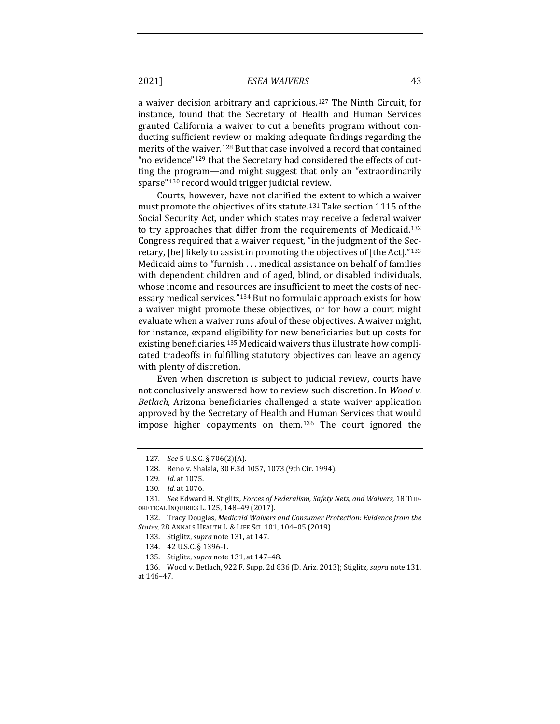a waiver decision arbitrary and capricious.[12](#page-18-1)7 The Ninth Circuit, for instance, found that the Secretary of Health and Human Services granted California a waiver to cut a benefits program without conducting sufficient review or making adequate findings regarding the merits of the waiver.<sup>[1](#page-18-2)28</sup> But that case involved a record that contained "no evidence"[1](#page-18-3)29 that the Secretary had considered the effects of cutting the program—and might suggest that only an "extraordinarily sparse"[13](#page-18-4)0 record would trigger judicial review.

<span id="page-18-11"></span><span id="page-18-0"></span>Courts, however, have not clarified the extent to which a waiver must promote the objectives of its statute.[1](#page-18-5)31 Take section 1115 of the Social Security Act, under which states may receive a federal waiver to try approaches that differ from the requirements of Medicaid.[1](#page-18-6)32 Congress required that a waiver request, "in the judgment of the Secretary, [be] likely to assist in promoting the objectives of [the Act]."[1](#page-18-7)33 Medicaid aims to "furnish . . . medical assistance on behalf of families with dependent children and of aged, blind, or disabled individuals, whose income and resources are insufficient to meet the costs of necessary medical services."[13](#page-18-8)4 But no formulaic approach exists for how a waiver might promote these objectives, or for how a court might evaluate when a waiver runs afoul of these objectives. A waiver might, for instance, expand eligibility for new beneficiaries but up costs for existing beneficiaries.[1](#page-18-9)35 Medicaid waivers thus illustrate how complicated tradeoffs in fulfilling statutory objectives can leave an agency with plenty of discretion.

Even when discretion is subject to judicial review, courts have not conclusively answered how to review such discretion. In *Wood v. Betlach*, Arizona beneficiaries challenged a state waiver application approved by the Secretary of Health and Human Services that would impose higher copayments on them.[13](#page-18-10)6 The court ignored the

<sup>127</sup>*. See* 5 U.S.C. § 706(2)(A).

<sup>128.</sup> Beno v. Shalala, 30 F.3d 1057, 1073 (9th Cir. 1994).

<sup>129</sup>*. Id.* at 1075.

<sup>130</sup>*. Id.* at 1076.

<span id="page-18-5"></span><span id="page-18-4"></span><span id="page-18-3"></span><span id="page-18-2"></span><span id="page-18-1"></span><sup>131</sup>*. See* Edward H. Stiglitz, *Forces of Federalism, Safety Nets, and Waivers*, 18 THE-ORETICAL INQUIRIES L. 125, 148–49 (2017).

<span id="page-18-7"></span><span id="page-18-6"></span><sup>132.</sup> Tracy Douglas, *Medicaid Waivers and Consumer Protection: Evidence from the States*, 28 ANNALS HEALTH L. & LIFE SCI. 101, 104–05 (2019).

<sup>133.</sup> Stiglitz, *supra* not[e 131,](#page-18-0) at 147.

<sup>134. 42</sup> U.S.C. § 1396-1.

<sup>135.</sup> Stiglitz, *supra* not[e 131,](#page-18-0) at 147–48.

<span id="page-18-10"></span><span id="page-18-9"></span><span id="page-18-8"></span><sup>136.</sup> Wood v. Betlach, 922 F. Supp. 2d 836 (D. Ariz. 2013); Stiglitz, *supra* not[e 131,](#page-18-0)  at 146–47.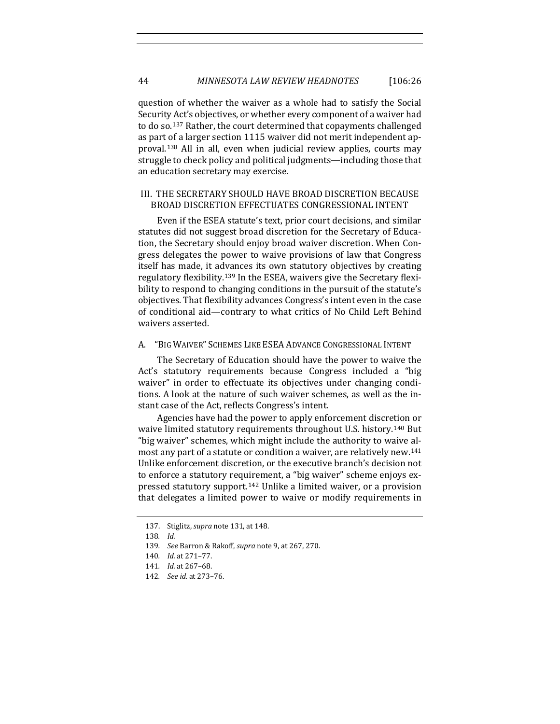question of whether the waiver as a whole had to satisfy the Social Security Act's objectives, or whether every component of a waiver had to do so.[13](#page-19-0)7 Rather, the court determined that copayments challenged as part of a larger section 1115 waiver did not merit independent approval.[13](#page-19-1)8 All in all, even when judicial review applies, courts may struggle to check policy and political judgments—including those that an education secretary may exercise.

## III. THE SECRETARY SHOULD HAVE BROAD DISCRETION BECAUSE BROAD DISCRETION EFFECTUATES CONGRESSIONAL INTENT

Even if the ESEA statute's text, prior court decisions, and similar statutes did not suggest broad discretion for the Secretary of Education, the Secretary should enjoy broad waiver discretion. When Congress delegates the power to waive provisions of law that Congress itself has made, it advances its own statutory objectives by creating regulatory flexibility.[13](#page-19-2)9 In the ESEA, waivers give the Secretary flexibility to respond to changing conditions in the pursuit of the statute's objectives. That flexibility advances Congress's intent even in the case of conditional aid—contrary to what critics of No Child Left Behind waivers asserted.

#### A. "BIG WAIVER" SCHEMES LIKE ESEA ADVANCE CONGRESSIONAL INTENT

The Secretary of Education should have the power to waive the Act's statutory requirements because Congress included a "big waiver" in order to effectuate its objectives under changing conditions. A look at the nature of such waiver schemes, as well as the instant case of the Act, reflects Congress's intent.

Agencies have had the power to apply enforcement discretion or waive limited statutory requirements throughout U.S. history.[14](#page-19-3)0 But "big waiver" schemes, which might include the authority to waive almost any part of a statute or condition a waiver, are relatively new.[1](#page-19-4)41 Unlike enforcement discretion, or the executive branch's decision not to enforce a statutory requirement, a "big waiver" scheme enjoys expressed statutory support.[14](#page-19-5)2 Unlike a limited waiver, or a provision that delegates a limited power to waive or modify requirements in

<span id="page-19-0"></span><sup>137.</sup> Stiglitz, *supra* not[e 131,](#page-18-0) at 148.

<span id="page-19-1"></span><sup>138</sup>*. Id.*

<span id="page-19-2"></span><sup>139</sup>*. See* Barron & Rakoff, *supra* not[e 9,](#page-2-8) at 267, 270.

<span id="page-19-3"></span><sup>140</sup>*. Id.* at 271–77.

<span id="page-19-4"></span><sup>141</sup>*. Id.* at 267–68.

<span id="page-19-5"></span><sup>142</sup>*. See id.* at 273–76.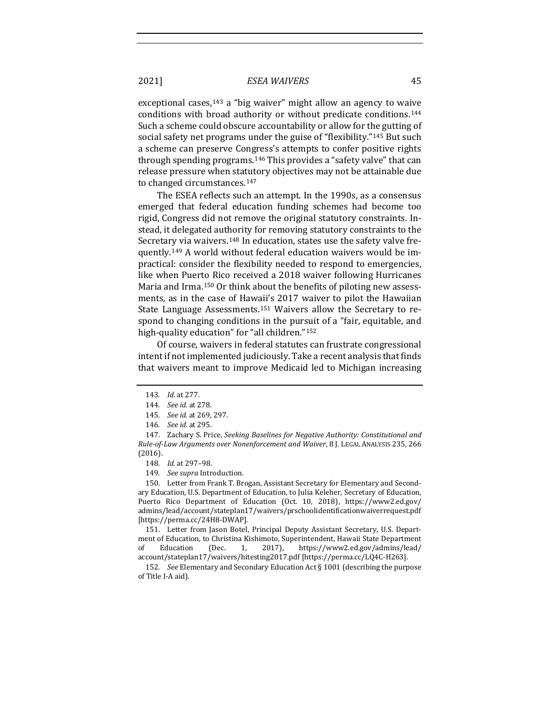exceptional cases,<sup>[14](#page-20-0)3</sup> a "big waiver" might allow an agency to waive conditions with broad authority or without predicate conditions.[1](#page-20-1)44 Such a scheme could obscure accountability or allow for the gutting of social safety net programs under the guise of "flexibility."[14](#page-20-2)5 But such a scheme can preserve Congress's attempts to confer positive rights through spending programs.[14](#page-20-3)6 This provides a "safety valve" that can release pressure when statutory objectives may not be attainable due to changed circumstances.[1](#page-20-4)47

<span id="page-20-10"></span>The ESEA reflects such an attempt. In the 1990s, as a consensus emerged that federal education funding schemes had become too rigid, Congress did not remove the original statutory constraints. Instead, it delegated authority for removing statutory constraints to the Secretary via waivers.<sup>[1](#page-20-5)48</sup> In education, states use the safety valve frequently.[14](#page-20-6)9 A world without federal education waivers would be impractical: consider the flexibility needed to respond to emergencies, like when Puerto Rico received a 2018 waiver following Hurricanes Maria and Irma.[15](#page-20-7)0 Or think about the benefits of piloting new assessments, as in the case of Hawaii's 2017 waiver to pilot the Hawaiian State Language Assessments.[15](#page-20-8)1 Waivers allow the Secretary to respond to changing conditions in the pursuit of a "fair, equitable, and high-quality education" for "all children."[15](#page-20-9)2

Of course, waivers in federal statutes can frustrate congressional intent if not implemented judiciously. Take a recent analysis that finds that waivers meant to improve Medicaid led to Michigan increasing

149*. See supra* Introduction.

<span id="page-20-7"></span><span id="page-20-6"></span><span id="page-20-5"></span>150. Letter from Frank T. Brogan, Assistant Secretary for Elementary and Secondary Education, U.S. Department of Education, to Julia Keleher, Secretary of Education, Puerto Rico Department of Education (Oct. 10, 2018), https://www2.ed.gov/ admins/lead/account/stateplan17/waivers/prschoolidentificationwaiverrequest.pdf [https://perma.cc/24H8-DWAP].

<span id="page-20-8"></span>151. Letter from Jason Botel, Principal Deputy Assistant Secretary, U.S. Department of Education, to Christina Kishimoto, Superintendent, Hawaii State Department<br>of Education (Dec. 1, 2017), https://www2.ed.gov/admins/lead/ https://www2.ed.gov/admins/lead/ account/stateplan17/waivers/hitesting2017.pdf [https://perma.cc/LQ4C-H263].

<span id="page-20-9"></span>152*. See* Elementary and Secondary Education Act § 1001 (describing the purpose of Title I-A aid).

<sup>143</sup>*. Id.* at 277.

<sup>144</sup>*. See id.* at 278.

<sup>145</sup>*. See id.* at 269, 297.

<sup>146</sup>*. See id.* at 295.

<span id="page-20-4"></span><span id="page-20-3"></span><span id="page-20-2"></span><span id="page-20-1"></span><span id="page-20-0"></span><sup>147.</sup> Zachary S. Price, *Seeking Baselines for Negative Authority: Constitutional and Rule-of-Law Arguments over Nonenforcement and Waiver*, 8 J. LEGAL ANALYSIS 235, 266 (2016).

<sup>148</sup>*. Id.* at 297–98.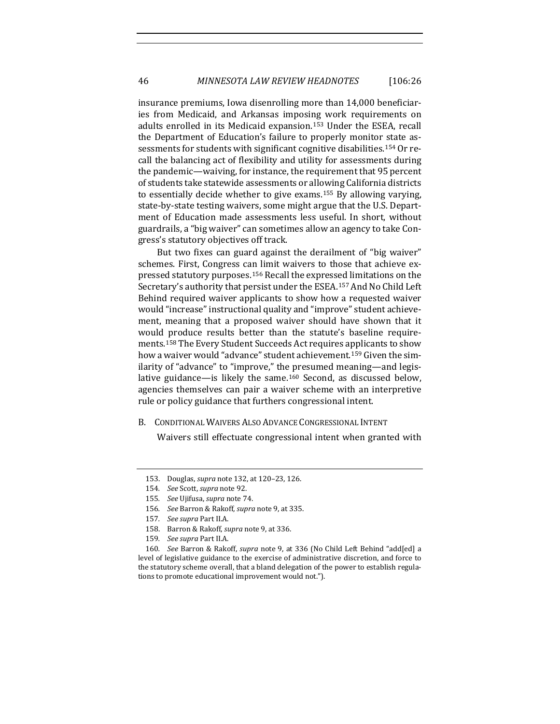insurance premiums, Iowa disenrolling more than 14,000 beneficiaries from Medicaid, and Arkansas imposing work requirements on adults enrolled in its Medicaid expansion.[1](#page-21-0)53 Under the ESEA, recall the Department of Education's failure to properly monitor state assessments for students with significant cognitive disabilities.[1](#page-21-1)54 Or recall the balancing act of flexibility and utility for assessments during the pandemic—waiving, for instance, the requirement that 95 percent of students take statewide assessments or allowing California districts to essentially decide whether to give exams.[1](#page-21-2)55 By allowing varying, state-by-state testing waivers, some might argue that the U.S. Department of Education made assessments less useful. In short, without guardrails, a "big waiver" can sometimes allow an agency to take Congress's statutory objectives off track.

But two fixes can guard against the derailment of "big waiver" schemes. First, Congress can limit waivers to those that achieve expressed statutory purposes.[15](#page-21-3)6 Recall the expressed limitations on the Secretary's authority that persist under the ESEA.[1](#page-21-4)57 And No Child Left Behind required waiver applicants to show how a requested waiver would "increase" instructional quality and "improve" student achievement, meaning that a proposed waiver should have shown that it would produce results better than the statute's baseline requirements.[1](#page-21-5)58 The Every Student Succeeds Act requires applicants to show how a waiver would "advance" student achievement.[1](#page-21-6)59 Given the similarity of "advance" to "improve," the presumed meaning—and legislative guidance—is likely the same.[16](#page-21-7)0 Second, as discussed below, agencies themselves can pair a waiver scheme with an interpretive rule or policy guidance that furthers congressional intent.

B. CONDITIONAL WAIVERS ALSO ADVANCE CONGRESSIONAL INTENT

Waivers still effectuate congressional intent when granted with

<span id="page-21-0"></span><sup>153.</sup> Douglas, *supra* not[e 132,](#page-18-11) at 120–23, 126.

<span id="page-21-1"></span><sup>154</sup>*. See* Scott, *supra* note [92.](#page-14-6) 

<span id="page-21-2"></span><sup>155</sup>*. See* Ujifusa, *supra* note [74.](#page-11-5) 

<sup>156</sup>*. See* Barron & Rakoff, *supra* not[e 9,](#page-2-8) at 335.

<sup>157</sup>*. See supra* Part II.A.

<sup>158.</sup> Barron & Rakoff, *supra* not[e 9,](#page-2-8) at 336.

<sup>159</sup>*. See supra* Part II.A.

<span id="page-21-7"></span><span id="page-21-6"></span><span id="page-21-5"></span><span id="page-21-4"></span><span id="page-21-3"></span><sup>160</sup>*. See* Barron & Rakoff, *supra* note [9,](#page-2-8) at 336 (No Child Left Behind "add[ed] a level of legislative guidance to the exercise of administrative discretion, and force to the statutory scheme overall, that a bland delegation of the power to establish regulations to promote educational improvement would not.").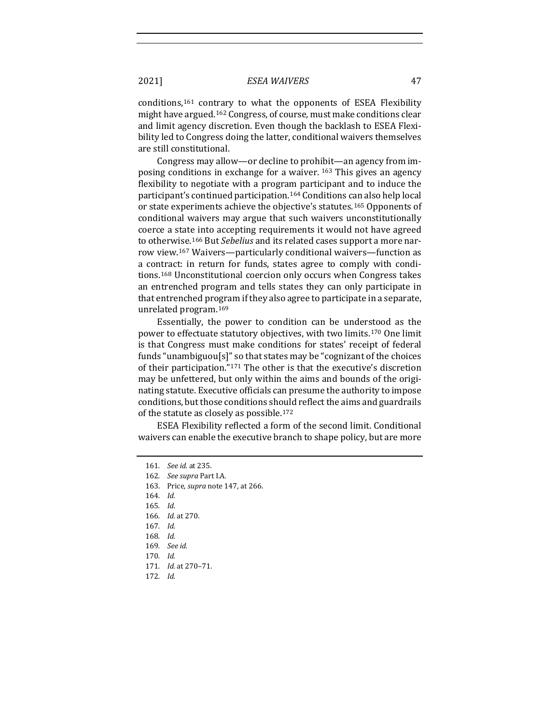conditions,[16](#page-22-0)1 contrary to what the opponents of ESEA Flexibility might have argued.[1](#page-22-1)62 Congress, of course, must make conditions clear and limit agency discretion. Even though the backlash to ESEA Flexibility led to Congress doing the latter, conditional waivers themselves are still constitutional.

Congress may allow—or decline to prohibit—an agency from imposing conditions in exchange for a waiver. [16](#page-22-2)3 This gives an agency flexibility to negotiate with a program participant and to induce the participant's continued participation.[1](#page-22-3)64 Conditions can also help local or state experiments achieve the objective's statutes.[16](#page-22-4)5 Opponents of conditional waivers may argue that such waivers unconstitutionally coerce a state into accepting requirements it would not have agreed to otherwise.[16](#page-22-5)6 But *Sebelius* and its related cases support a more narrow view.[16](#page-22-6)7 Waivers—particularly conditional waivers—function as a contract: in return for funds, states agree to comply with conditions.[16](#page-22-7)8 Unconstitutional coercion only occurs when Congress takes an entrenched program and tells states they can only participate in that entrenched program if they also agree to participate in a separate, unrelated program.[16](#page-22-8)9

Essentially, the power to condition can be understood as the power to effectuate statutory objectives, with two limits.[17](#page-22-9)0 One limit is that Congress must make conditions for states' receipt of federal funds "unambiguou[s]" so that states may be "cognizant of the choices of their participation."[1](#page-22-10)71 The other is that the executive's discretion may be unfettered, but only within the aims and bounds of the originating statute. Executive officials can presume the authority to impose conditions, but those conditions should reflect the aims and guardrails of the statute as closely as possible.[1](#page-22-11)72

<span id="page-22-0"></span>ESEA Flexibility reflected a form of the second limit. Conditional waivers can enable the executive branch to shape policy, but are more

<span id="page-22-4"></span><span id="page-22-3"></span>164*. Id.*

165*. Id.*

<span id="page-22-5"></span>166*. Id.* at 270.

<span id="page-22-6"></span>167*. Id.*

168*. Id.*

<span id="page-22-10"></span><span id="page-22-9"></span>170*. Id.*

171*. Id.* at 270–71.

<span id="page-22-11"></span>172*. Id.*

<sup>161</sup>*. See id.* at 235.

<span id="page-22-2"></span><span id="page-22-1"></span><sup>162</sup>*. See supra* Part I.A.

<sup>163.</sup> Price, *supra* not[e 147,](#page-20-10) at 266.

<span id="page-22-8"></span><span id="page-22-7"></span><sup>169</sup>*. See id.*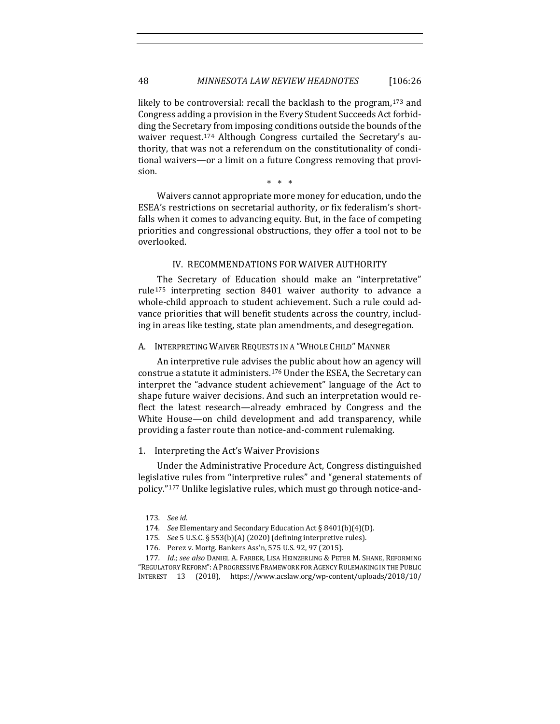likely to be controversial: recall the backlash to the program,<sup>[1](#page-23-0)73</sup> and Congress adding a provision in the Every Student Succeeds Act forbidding the Secretary from imposing conditions outside the bounds of the waiver request.[17](#page-23-1)4 Although Congress curtailed the Secretary's authority, that was not a referendum on the constitutionality of conditional waivers—or a limit on a future Congress removing that provision.

\* \* \*

Waivers cannot appropriate more money for education, undo the ESEA's restrictions on secretarial authority, or fix federalism's shortfalls when it comes to advancing equity. But, in the face of competing priorities and congressional obstructions, they offer a tool not to be overlooked.

#### IV. RECOMMENDATIONS FOR WAIVER AUTHORITY

The Secretary of Education should make an "interpretative" rule[17](#page-23-2)5 interpreting section 8401 waiver authority to advance a whole-child approach to student achievement. Such a rule could advance priorities that will benefit students across the country, including in areas like testing, state plan amendments, and desegregation.

#### A. INTERPRETING WAIVER REQUESTS IN A "WHOLE CHILD" MANNER

An interpretive rule advises the public about how an agency will construe a statute it administers.[17](#page-23-3)6 Under the ESEA, the Secretary can interpret the "advance student achievement" language of the Act to shape future waiver decisions. And such an interpretation would reflect the latest research—already embraced by Congress and the White House—on child development and add transparency, while providing a faster route than notice-and-comment rulemaking.

#### 1. Interpreting the Act's Waiver Provisions

Under the Administrative Procedure Act, Congress distinguished legislative rules from "interpretive rules" and "general statements of policy."[17](#page-23-4)7 Unlike legislative rules, which must go through notice-and-

<sup>173</sup>*. See id.*

<sup>174</sup>*. See* Elementary and Secondary Education Act § 8401(b)(4)(D).

<sup>175</sup>*. See* 5 U.S.C. § 553(b)(A) (2020) (defining interpretive rules).

<sup>176.</sup> Perez v. Mortg. Bankers Ass'n, 575 U.S. 92, 97 (2015).

<span id="page-23-4"></span><span id="page-23-3"></span><span id="page-23-2"></span><span id="page-23-1"></span><span id="page-23-0"></span><sup>177</sup>*. Id.*; *see also* DANIEL A. FARBER, LISA HEINZERLING & PETER M. SHANE, REFORMING "REGULATORY REFORM":APROGRESSIVE FRAMEWORK FOR AGENCY RULEMAKING IN THE PUBLIC INTEREST 13 (2018), https://www.acslaw.org/wp-content/uploads/2018/10/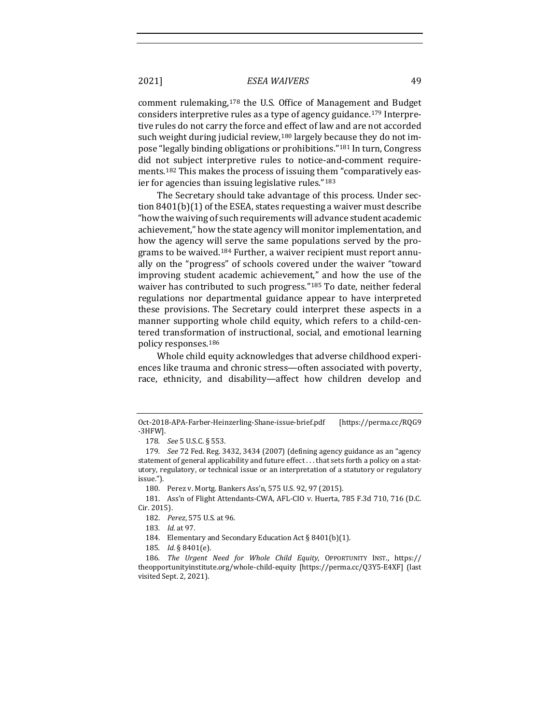comment rulemaking,[17](#page-24-0)8 the U.S. Office of Management and Budget considers interpretive rules as a type of agency guidance.[1](#page-24-1)79 Interpretive rules do not carry the force and effect of law and are not accorded such weight during judicial review,<sup>[18](#page-24-2)0</sup> largely because they do not impose "legally binding obligations or prohibitions."[1](#page-24-3)81 In turn, Congress did not subject interpretive rules to notice-and-comment requirements.[1](#page-24-4)82 This makes the process of issuing them "comparatively easier for agencies than issuing legislative rules."[1](#page-24-5)83

The Secretary should take advantage of this process. Under section 8401(b)(1) of the ESEA, states requesting a waiver must describe "how the waiving of such requirements will advance student academic achievement," how the state agency will monitor implementation, and how the agency will serve the same populations served by the programs to be waived.[1](#page-24-6)84 Further, a waiver recipient must report annually on the "progress" of schools covered under the waiver "toward improving student academic achievement," and how the use of the waiver has contributed to such progress."<sup>[1](#page-24-7)85</sup> To date, neither federal regulations nor departmental guidance appear to have interpreted these provisions. The Secretary could interpret these aspects in a manner supporting whole child equity, which refers to a child-centered transformation of instructional, social, and emotional learning policy responses.[1](#page-24-8)86

Whole child equity acknowledges that adverse childhood experiences like trauma and chronic stress—often associated with poverty, race, ethnicity, and disability—affect how children develop and

180. Perez v. Mortg. Bankers Ass'n, 575 U.S. 92, 97 (2015).

<span id="page-24-5"></span><span id="page-24-4"></span><span id="page-24-3"></span><span id="page-24-2"></span>181. Ass'n of Flight Attendants-CWA, AFL-CIO v. Huerta, 785 F.3d 710, 716 (D.C. Cir. 2015).

Oct-2018-APA-Farber-Heinzerling-Shane-issue-brief.pdf [https://perma.cc/RQG9 -3HFW].

<sup>178</sup>*. See* 5 U.S.C. § 553.

<span id="page-24-1"></span><span id="page-24-0"></span><sup>179</sup>*. See* 72 Fed. Reg. 3432, 3434 (2007) (defining agency guidance as an "agency statement of general applicability and future effect . . . that sets forth a policy on a statutory, regulatory, or technical issue or an interpretation of a statutory or regulatory issue.").

<sup>182.</sup> *Perez*, 575 U.S. at 96.

<sup>183</sup>*. Id.* at 97.

<sup>184.</sup> Elementary and Secondary Education Act § 8401(b)(1).

<sup>185</sup>*. Id.* § 8401(e).

<span id="page-24-8"></span><span id="page-24-7"></span><span id="page-24-6"></span><sup>186</sup>*. The Urgent Need for Whole Child Equity*, OPPORTUNITY INST., https:// theopportunityinstitute.org/whole-child-equity [https://perma.cc/Q3Y5-E4XF] (last visited Sept. 2, 2021).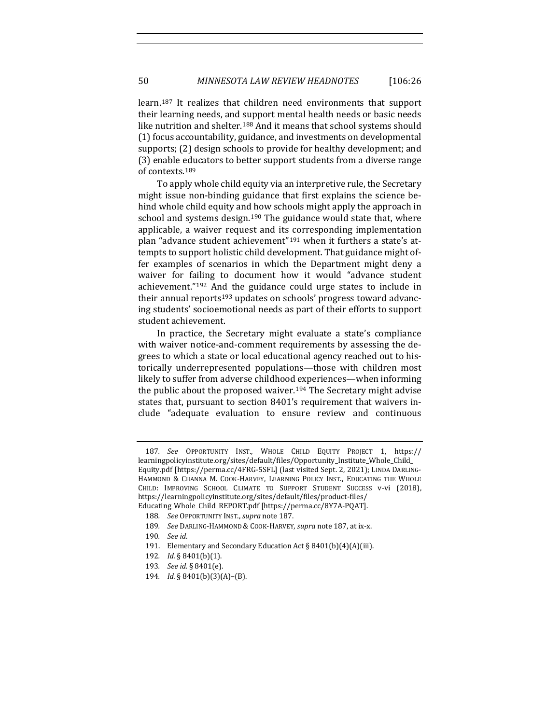<span id="page-25-0"></span>learn.[18](#page-25-1)7 It realizes that children need environments that support their learning needs, and support mental health needs or basic needs like nutrition and shelter.<sup>[1](#page-25-2)88</sup> And it means that school systems should (1) focus accountability, guidance, and investments on developmental supports; (2) design schools to provide for healthy development; and (3) enable educators to better support students from a diverse range of contexts.[18](#page-25-3)9

To apply whole child equity via an interpretive rule, the Secretary might issue non-binding guidance that first explains the science behind whole child equity and how schools might apply the approach in school and systems design.<sup>[1](#page-25-4)90</sup> The guidance would state that, where applicable, a waiver request and its corresponding implementation plan "advance student achievement"[19](#page-25-5)1 when it furthers a state's attempts to support holistic child development. That guidance might offer examples of scenarios in which the Department might deny a waiver for failing to document how it would "advance student achievement."[19](#page-25-6)2 And the guidance could urge states to include in their annual reports<sup>[19](#page-25-7)3</sup> updates on schools' progress toward advancing students' socioemotional needs as part of their efforts to support student achievement.

In practice, the Secretary might evaluate a state's compliance with waiver notice-and-comment requirements by assessing the degrees to which a state or local educational agency reached out to historically underrepresented populations—those with children most likely to suffer from adverse childhood experiences—when informing the public about the proposed waiver.<sup>[1](#page-25-8)94</sup> The Secretary might advise states that, pursuant to section 8401's requirement that waivers include "adequate evaluation to ensure review and continuous

<span id="page-25-1"></span><sup>187</sup>*. See* OPPORTUNITY INST., WHOLE CHILD EQUITY PROJECT 1, https:// learningpolicyinstitute.org/sites/default/files/Opportunity\_Institute\_Whole\_Child\_ Equity.pdf [https://perma.cc/4FRG-5SFL] (last visited Sept. 2, 2021); LINDA DARLING-HAMMOND & CHANNA M. COOK-HARVEY, LEARNING POLICY INST., EDUCATING THE WHOLE CHILD: IMPROVING SCHOOL CLIMATE TO SUPPORT STUDENT SUCCESS v-vi (2018), https://learningpolicyinstitute.org/sites/default/files/product-files/ Educating\_Whole\_Child\_REPORT.pdf [https://perma.cc/8Y7A-PQAT].

<span id="page-25-2"></span><sup>188</sup>*. See* OPPORTUNITY INST., *supra* not[e 187.](#page-25-0) 

<span id="page-25-3"></span><sup>189</sup>*. See* DARLING-HAMMOND & COOK-HARVEY, *supra* not[e 187,](#page-25-0) at ix-x.

<sup>190</sup>*. See id*.

<span id="page-25-5"></span><span id="page-25-4"></span><sup>191.</sup> Elementary and Secondary Education Act § 8401(b)(4)(A)(iii).

<span id="page-25-7"></span><span id="page-25-6"></span><sup>192</sup>*. Id.* § 8401(b)(1).

<sup>193</sup>*. See id.* § 8401(e).

<span id="page-25-8"></span><sup>194</sup>*. Id.* § 8401(b)(3)(A)–(B).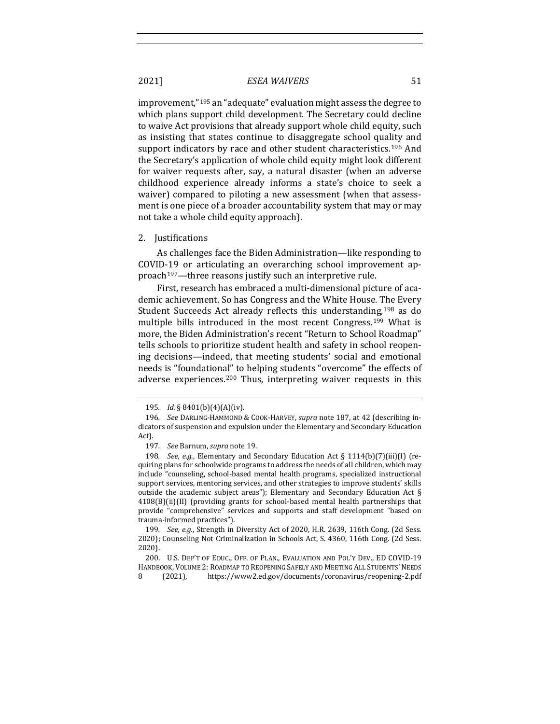improvement,"[19](#page-26-0)5 an "adequate" evaluation might assess the degree to which plans support child development. The Secretary could decline to waive Act provisions that already support whole child equity, such as insisting that states continue to disaggregate school quality and support indicators by race and other student characteristics.<sup>[19](#page-26-1)6</sup> And the Secretary's application of whole child equity might look different for waiver requests after, say, a natural disaster (when an adverse childhood experience already informs a state's choice to seek a waiver) compared to piloting a new assessment (when that assessment is one piece of a broader accountability system that may or may not take a whole child equity approach).

2. Justifications

As challenges face the Biden Administration—like responding to COVID-19 or articulating an overarching school improvement approach[19](#page-26-2)7—three reasons justify such an interpretive rule.

First, research has embraced a multi-dimensional picture of academic achievement. So has Congress and the White House. The Every Student Succeeds Act already reflects this understanding,<sup>[19](#page-26-3)8</sup> as do multiple bills introduced in the most recent Congress.[1](#page-26-4)99 What is more, the Biden Administration's recent "Return to School Roadmap" tells schools to prioritize student health and safety in school reopening decisions—indeed, that meeting students' social and emotional needs is "foundational" to helping students "overcome" the effects of adverse experiences.[2](#page-26-5)00 Thus, interpreting waiver requests in this

<sup>195</sup>*. Id.* § 8401(b)(4)(A)(iv).

<span id="page-26-1"></span><span id="page-26-0"></span><sup>196</sup>*. See* DARLING-HAMMOND & COOK-HARVEY, *supra* note [187,](#page-25-0) at 42 (describing indicators of suspension and expulsion under the Elementary and Secondary Education Act).

<sup>197</sup>*. See* Barnum, *supra* not[e 19.](#page-3-8) 

<span id="page-26-3"></span><span id="page-26-2"></span><sup>198</sup>*. See, e*.*g*., Elementary and Secondary Education Act § 1114(b)(7)(iii)(I) (requiring plans for schoolwide programs to address the needs of all children, which may include "counseling, school-based mental health programs, specialized instructional support services, mentoring services, and other strategies to improve students' skills outside the academic subject areas"); Elementary and Secondary Education Act § 4108(B)(ii)(II) (providing grants for school-based mental health partnerships that provide "comprehensive" services and supports and staff development "based on trauma-informed practices").

<span id="page-26-4"></span><sup>199</sup>*. See, e.g.*, Strength in Diversity Act of 2020, H.R. 2639, 116th Cong. (2d Sess. 2020); Counseling Not Criminalization in Schools Act, S. 4360, 116th Cong. (2d Sess. 2020).

<span id="page-26-5"></span><sup>200.</sup> U.S. DEP'T OF EDUC., OFF. OF PLAN., EVALUATION AND POL'Y DEV., ED COVID-19 HANDBOOK, VOLUME 2: ROADMAP TO REOPENING SAFELY AND MEETING ALL STUDENTS' NEEDS<br>8 (2021), https://www2.ed.gov/documents/coronavirus/reopening-2.pdf https://www2.ed.gov/documents/coronavirus/reopening-2.pdf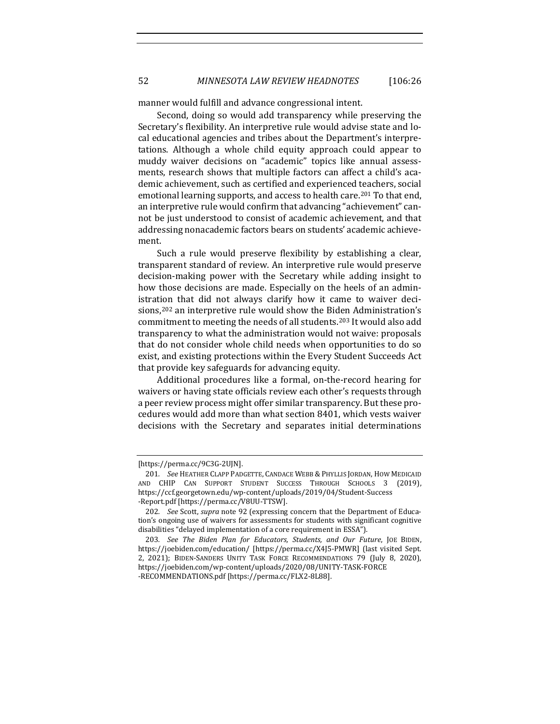52 *MINNESOTA LAW REVIEW HEADNOTES* [106:26

manner would fulfill and advance congressional intent.

Second, doing so would add transparency while preserving the Secretary's flexibility. An interpretive rule would advise state and local educational agencies and tribes about the Department's interpretations. Although a whole child equity approach could appear to muddy waiver decisions on "academic" topics like annual assessments, research shows that multiple factors can affect a child's academic achievement, such as certified and experienced teachers, social emotional learning supports, and access to health care.<sup>[2](#page-27-0)01</sup> To that end, an interpretive rule would confirm that advancing "achievement" cannot be just understood to consist of academic achievement, and that addressing nonacademic factors bears on students' academic achievement.

Such a rule would preserve flexibility by establishing a clear, transparent standard of review. An interpretive rule would preserve decision-making power with the Secretary while adding insight to how those decisions are made. Especially on the heels of an administration that did not always clarify how it came to waiver deci-sions,<sup>[20](#page-27-1)2</sup> an interpretive rule would show the Biden Administration's commitment to meeting the needs of all students.[20](#page-27-2)3 It would also add transparency to what the administration would not waive: proposals that do not consider whole child needs when opportunities to do so exist, and existing protections within the Every Student Succeeds Act that provide key safeguards for advancing equity.

Additional procedures like a formal, on-the-record hearing for waivers or having state officials review each other's requests through a peer review process might offer similar transparency. But these procedures would add more than what section 8401, which vests waiver decisions with the Secretary and separates initial determinations

<sup>[</sup>https://perma.cc/9C3G-2UJN].

<span id="page-27-0"></span><sup>201</sup>*. See* HEATHER CLAPP PADGETTE, CANDACE WEBB & PHYLLIS JORDAN, HOW MEDICAID AND CHIP CAN SUPPORT STUDENT SUCCESS THROUGH SCHOOLS 3 (2019), https://ccf.georgetown.edu/wp-content/uploads/2019/04/Student-Success -Report.pdf [https://perma.cc/V8UU-TTSW].

<span id="page-27-1"></span><sup>202</sup>*. See* Scott, *supra* note [92](#page-14-6) (expressing concern that the Department of Education's ongoing use of waivers for assessments for students with significant cognitive disabilities "delayed implementation of a core requirement in ESSA").

<span id="page-27-2"></span><sup>203</sup>*. See The Biden Plan for Educators, Students, and Our Future*, JOE BIDEN, https://joebiden.com/education/ [https://perma.cc/X4J5-PMWR] (last visited Sept. 2, 2021); BIDEN-SANDERS UNITY TASK FORCE RECOMMENDATIONS 79 (July 8, 2020), https://joebiden.com/wp-content/uploads/2020/08/UNITY-TASK-FORCE -RECOMMENDATIONS.pdf [https://perma.cc/FLX2-8L88].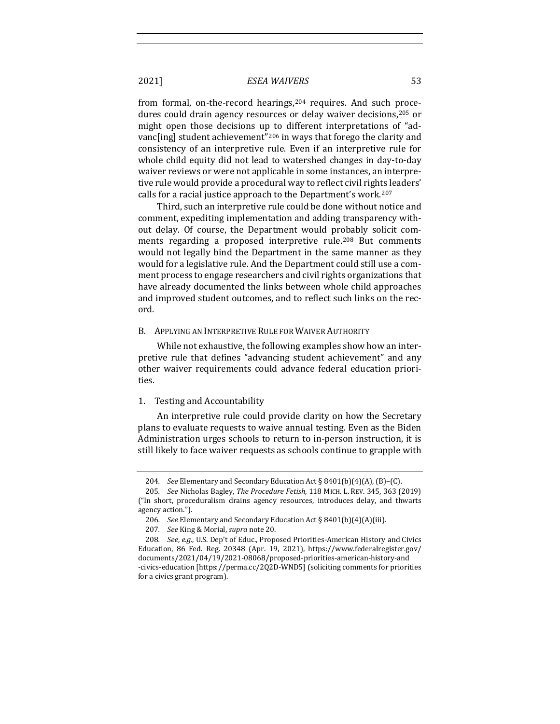from formal, on-the-record hearings, [20](#page-28-0)4 requires. And such proce-dures could drain agency resources or delay waiver decisions,<sup>[2](#page-28-1)05</sup> or might open those decisions up to different interpretations of "advanc[ing] student achievement"[20](#page-28-2)6 in ways that forego the clarity and consistency of an interpretive rule. Even if an interpretive rule for whole child equity did not lead to watershed changes in day-to-day waiver reviews or were not applicable in some instances, an interpretive rule would provide a procedural way to reflect civil rights leaders' calls for a racial justice approach to the Department's work[.2](#page-28-3)07

Third, such an interpretive rule could be done without notice and comment, expediting implementation and adding transparency without delay. Of course, the Department would probably solicit com-ments regarding a proposed interpretive rule.<sup>[20](#page-28-4)8</sup> But comments would not legally bind the Department in the same manner as they would for a legislative rule. And the Department could still use a comment process to engage researchers and civil rights organizations that have already documented the links between whole child approaches and improved student outcomes, and to reflect such links on the record.

#### B. APPLYING AN INTERPRETIVE RULE FOR WAIVER AUTHORITY

While not exhaustive, the following examples show how an interpretive rule that defines "advancing student achievement" and any other waiver requirements could advance federal education priorities.

#### 1. Testing and Accountability

An interpretive rule could provide clarity on how the Secretary plans to evaluate requests to waive annual testing. Even as the Biden Administration urges schools to return to in-person instruction, it is still likely to face waiver requests as schools continue to grapple with

<sup>204</sup>*. See* Elementary and Secondary Education Act § 8401(b)(4)(A), (B)–(C).

<span id="page-28-1"></span><span id="page-28-0"></span><sup>205</sup>*. See* Nicholas Bagley, *The Procedure Fetish*, 118 MICH. L. REV. 345, 363 (2019) ("In short, proceduralism drains agency resources, introduces delay, and thwarts agency action.").

<sup>206</sup>*. See* Elementary and Secondary Education Act § 8401(b)(4)(A)(iii).

<sup>207</sup>*. See* King & Morial, *supra* not[e 20.](#page-3-9) 

<span id="page-28-4"></span><span id="page-28-3"></span><span id="page-28-2"></span><sup>208</sup>*. See*, *e.g.*, U.S. Dep't of Educ., Proposed Priorities-American History and Civics Education, 86 Fed. Reg. 20348 (Apr. 19, 2021), https://www.federalregister.gov/ documents/2021/04/19/2021-08068/proposed-priorities-american-history-and -civics-education [https://perma.cc/2Q2D-WND5] (soliciting comments for priorities for a civics grant program).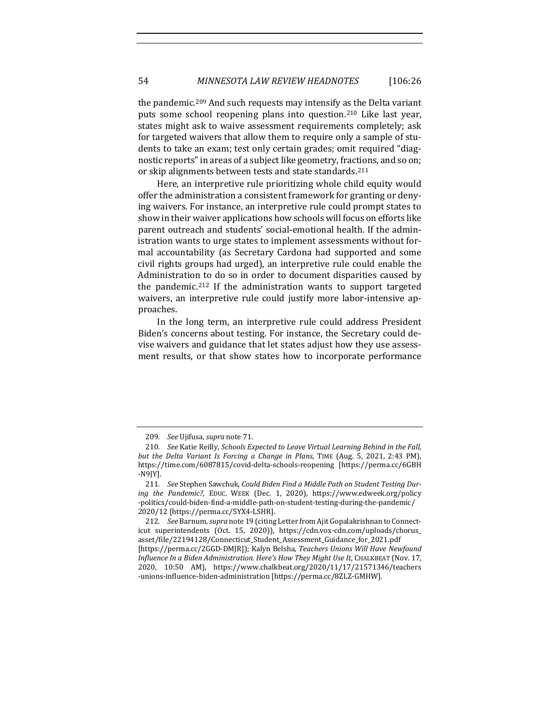the pandemic.[2](#page-29-0)09 And such requests may intensify as the Delta variant puts some school reopening plans into question.[2](#page-29-1)10 Like last year, states might ask to waive assessment requirements completely; ask for targeted waivers that allow them to require only a sample of students to take an exam; test only certain grades; omit required "diagnostic reports" in areas of a subject like geometry, fractions, and so on; or skip alignments between tests and state standards.[2](#page-29-2)11

Here, an interpretive rule prioritizing whole child equity would offer the administration a consistent framework for granting or denying waivers. For instance, an interpretive rule could prompt states to show in their waiver applications how schools will focus on efforts like parent outreach and students' social-emotional health. If the administration wants to urge states to implement assessments without formal accountability (as Secretary Cardona had supported and some civil rights groups had urged), an interpretive rule could enable the Administration to do so in order to document disparities caused by the pandemic.[2](#page-29-3)12 If the administration wants to support targeted waivers, an interpretive rule could justify more labor-intensive approaches.

In the long term, an interpretive rule could address President Biden's concerns about testing. For instance, the Secretary could devise waivers and guidance that let states adjust how they use assessment results, or that show states how to incorporate performance

<sup>209</sup>*. See* Ujifusa, *supra* note [71.](#page-10-7) 

<span id="page-29-1"></span><span id="page-29-0"></span><sup>210</sup>*. See* Katie Reilly, *Schools Expected to Leave Virtual Learning Behind in the Fall, but the Delta Variant Is Forcing a Change in Plans*, TIME (Aug. 5, 2021, 2:43 PM), <https://time.com/6087815/covid-delta-schools-reopening>[https://perma.cc/6GBH -N9JY].

<span id="page-29-2"></span><sup>211</sup>*. See* Stephen Sawchuk, *Could Biden Find a Middle Path on Student Testing During the Pandemic?*, EDUC. WEEK (Dec. 1, 2020), https://www.edweek.org/policy -politics/could-biden-find-a-middle-path-on-student-testing-during-the-pandemic/ 2020/12 [https://perma.cc/5YX4-LSHR].

<span id="page-29-3"></span><sup>212</sup>*. See* Barnum, *supra* not[e 19](#page-3-8) (citing Letter from Ajit Gopalakrishnan to Connecticut superintendents (Oct. 15, 2020)), https://cdn.vox-cdn.com/uploads/chorus\_ asset/file/22194128/Connecticut\_Student\_Assessment\_Guidance\_for\_2021.pdf [https://perma.cc/2GGD-DMJR]); Kalyn Belsha, *Teachers Unions Will Have Newfound Influence In a Biden Administration. Here's How They Might Use It*, CHALKBEAT (Nov. 17, 2020, 10:50 AM), https://www.chalkbeat.org/2020/11/17/21571346/teachers -unions-influence-biden-administration [https://perma.cc/8ZLZ-GMHW].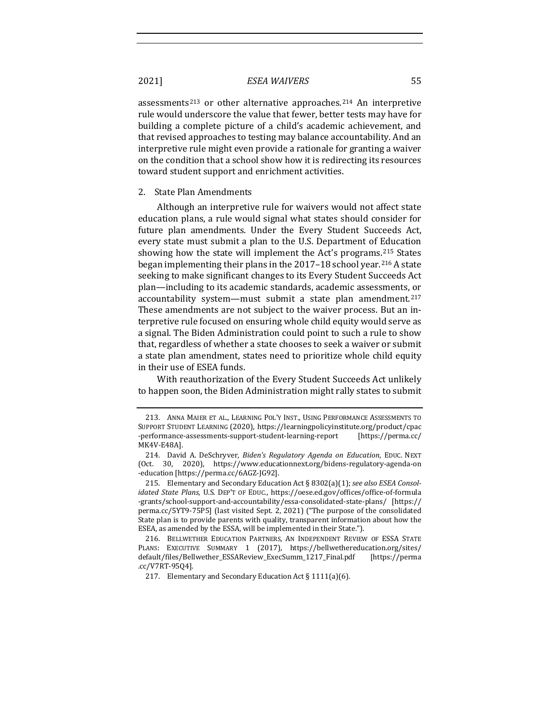assessments[21](#page-30-0)3 or other alternative approaches.[2](#page-30-1)14 An interpretive rule would underscore the value that fewer, better tests may have for building a complete picture of a child's academic achievement, and that revised approaches to testing may balance accountability. And an interpretive rule might even provide a rationale for granting a waiver on the condition that a school show how it is redirecting its resources toward student support and enrichment activities.

#### 2. State Plan Amendments

Although an interpretive rule for waivers would not affect state education plans, a rule would signal what states should consider for future plan amendments. Under the Every Student Succeeds Act, every state must submit a plan to the U.S. Department of Education showing how the state will implement the Act's programs.[21](#page-30-2)5 States began implementing their plans in the  $2017-18$  $2017-18$  school year.<sup>216</sup> A state seeking to make significant changes to its Every Student Succeeds Act plan—including to its academic standards, academic assessments, or accountability system—must submit a state plan amendment.<sup>[2](#page-30-4)17</sup> These amendments are not subject to the waiver process. But an interpretive rule focused on ensuring whole child equity would serve as a signal. The Biden Administration could point to such a rule to show that, regardless of whether a state chooses to seek a waiver or submit a state plan amendment, states need to prioritize whole child equity in their use of ESEA funds.

With reauthorization of the Every Student Succeeds Act unlikely to happen soon, the Biden Administration might rally states to submit

<span id="page-30-0"></span><sup>213.</sup> ANNA MAIER ET AL., LEARNING POL'Y INST., USING PERFORMANCE ASSESSMENTS TO SUPPORT STUDENT LEARNING (2020), https://learningpolicyinstitute.org/product/cpac -performance-assessments-support-student-learning-report MK4V-E48A].

<span id="page-30-1"></span><sup>214.</sup> David A. DeSchryver, *Biden's Regulatory Agenda on Education*, EDUC. NEXT (Oct. 30, 2020), https://www.educationnext.org/bidens-regulatory-agenda-on -education [https://perma.cc/6AGZ-JG92].

<span id="page-30-2"></span><sup>215.</sup> Elementary and Secondary Education Act § 8302(a)(1); *see also ESEA Consolidated State Plans*, U.S. DEP'T OF EDUC., https://oese.ed.gov/offices/office-of-formula -grants/school-support-and-accountability/essa-consolidated-state-plans/ [https:// perma.cc/5YT9-75P5] (last visited Sept. 2, 2021) ("The purpose of the consolidated State plan is to provide parents with quality, transparent information about how the ESEA, as amended by the ESSA, will be implemented in their State.").

<span id="page-30-4"></span><span id="page-30-3"></span><sup>216.</sup> BELLWETHER EDUCATION PARTNERS, AN INDEPENDENT REVIEW OF ESSA STATE PLANS: EXECUTIVE SUMMARY 1 (2017), https://bellwethereducation.org/sites/<br>default/files/Bellwether\_ESSAReview\_ExecSumm\_1217\_Final.pdf [https://perma default/files/Bellwether\_ESSAReview\_ExecSumm\_1217\_Final.pdf .cc/V7RT-95Q4].

<sup>217.</sup> Elementary and Secondary Education Act § 1111(a)(6).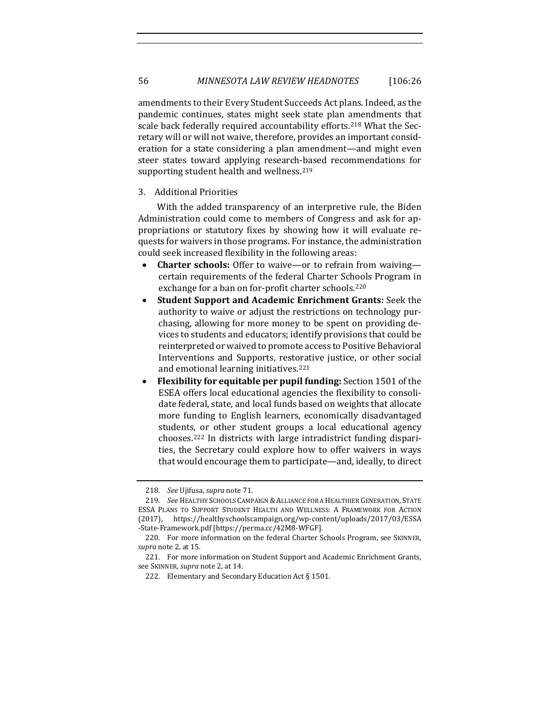amendments to their Every Student Succeeds Act plans. Indeed, as the pandemic continues, states might seek state plan amendments that scale back federally required accountability efforts.<sup>[2](#page-31-0)18</sup> What the Secretary will or will not waive, therefore, provides an important consideration for a state considering a plan amendment—and might even steer states toward applying research-based recommendations for supporting student health and wellness.<sup>[21](#page-31-1)9</sup>

#### 3. Additional Priorities

With the added transparency of an interpretive rule, the Biden Administration could come to members of Congress and ask for appropriations or statutory fixes by showing how it will evaluate requests for waivers in those programs. For instance, the administration could seek increased flexibility in the following areas:

- **Charter schools:** Offer to waive—or to refrain from waiving certain requirements of the federal Charter Schools Program in exchange for a ban on for-profit charter schools.<sup>[22](#page-31-2)0</sup>
- **Student Support and Academic Enrichment Grants:** Seek the authority to waive or adjust the restrictions on technology purchasing, allowing for more money to be spent on providing devices to students and educators; identify provisions that could be reinterpreted or waived to promote access to Positive Behavioral Interventions and Supports, restorative justice, or other social and emotional learning initiatives.[2](#page-31-3)21
- **Flexibility for equitable per pupil funding:** Section 1501 of the ESEA offers local educational agencies the flexibility to consolidate federal, state, and local funds based on weights that allocate more funding to English learners, economically disadvantaged students, or other student groups a local educational agency chooses.[22](#page-31-4)2 In districts with large intradistrict funding disparities, the Secretary could explore how to offer waivers in ways that would encourage them to participate—and, ideally, to direct

<sup>218</sup>*. See* Ujifusa, *supra* note [71.](#page-10-7) 

<span id="page-31-1"></span><span id="page-31-0"></span><sup>219</sup>*. See* HEALTHY SCHOOLS CAMPAIGN &ALLIANCE FOR A HEALTHIER GENERATION, STATE ESSA PLANS TO SUPPORT STUDENT HEALTH AND WELLNESS: A FRAMEWORK FOR ACTION (2017), https://healthyschoolscampaign.org/wp-content/uploads/2017/03/ESSA -State-Framework.pdf [https://perma.cc/42M8-WFGF]*.*

<span id="page-31-2"></span><sup>220.</sup> For more information on the federal Charter Schools Program, see SKINNER, *supra* not[e 2,](#page-1-0) at 15.

<span id="page-31-4"></span><span id="page-31-3"></span><sup>221.</sup> For more information on Student Support and Academic Enrichment Grants, see SKINNER, *supra* not[e 2,](#page-1-0) at 14.

<sup>222.</sup> Elementary and Secondary Education Act § 1501.